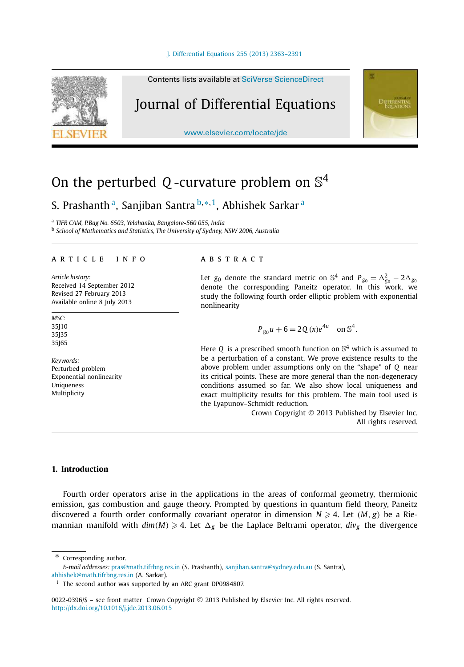

Contents lists available at SciVerse ScienceDirect

# Journal of Differential Equations

www.elsevier.com/locate/jde

# On the perturbed Q -curvature problem on  $\mathbb{S}^4$

S. Prashanthª, Sanjiban Santra <sup>b,∗,1</sup>, Abhishek Sarkarª

a *TIFR CAM, P.Bag No. 6503, Yelahanka, Bangalore-560 055, India*

b *School of Mathematics and Statistics, The University of Sydney, NSW 2006, Australia*

# article info abstract

*Article history:* Received 14 September 2012 Revised 27 February 2013 Available online 8 July 2013

*MSC:* 35J10 35J35 35J65

*Keywords:* Perturbed problem Exponential nonlinearity Uniqueness Multiplicity

Let  $g_0$  denote the standard metric on  $\mathbb{S}^4$  and  $P_{g_0} = \Delta_{g_0}^2 - 2\Delta_{g_0}$ denote the corresponding Paneitz operator. In this work, we study the following fourth order elliptic problem with exponential nonlinearity

**DIFFERENTIAL**<br>Ecuations

$$
P_{g_0}u + 6 = 2Q(x)e^{4u}
$$
 on  $\mathbb{S}^4$ .

Here  $Q$  is a prescribed smooth function on  $\mathbb{S}^4$  which is assumed to be a perturbation of a constant. We prove existence results to the above problem under assumptions only on the "shape" of *Q* near its critical points. These are more general than the non-degeneracy conditions assumed so far. We also show local uniqueness and exact multiplicity results for this problem. The main tool used is the Lyapunov–Schmidt reduction.

> Crown Copyright © 2013 Published by Elsevier Inc. All rights reserved.

# **1. Introduction**

Fourth order operators arise in the applications in the areas of conformal geometry, thermionic emission, gas combustion and gauge theory. Prompted by questions in quantum field theory, Paneitz discovered a fourth order conformally covariant operator in dimension  $N \geqslant 4$ . Let  $(M, g)$  be a Riemannian manifold with  $dim(M) \geqslant 4$ . Let  $\Delta_g$  be the Laplace Beltrami operator,  $div_g$  the divergence

Corresponding author. *E-mail addresses:* pras@math.tifrbng.res.in (S. Prashanth), sanjiban.santra@sydney.edu.au (S. Santra),

abhishek@math.tifrbng.res.in (A. Sarkar).

<sup>&</sup>lt;sup>1</sup> The second author was supported by an ARC grant DP0984807.

<sup>0022-0396/\$ -</sup> see front matter Crown Copyright © 2013 Published by Elsevier Inc. All rights reserved. http://dx.doi.org/10.1016/j.jde.2013.06.015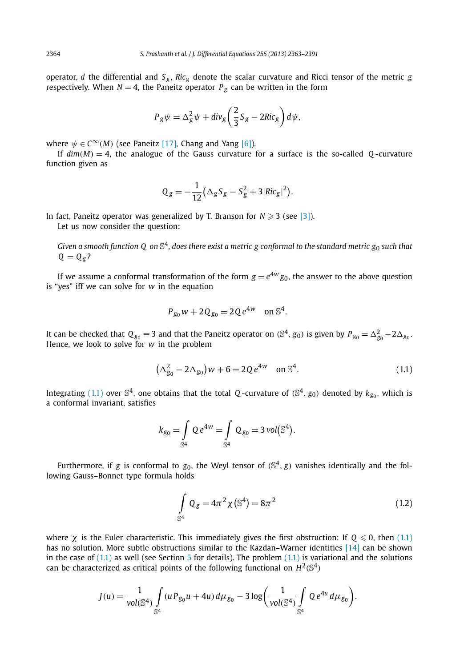operator, *d* the differential and  $S_g$ ,  $Ric_g$  denote the scalar curvature and Ricci tensor of the metric *g* respectively. When  $N = 4$ , the Paneitz operator  $P_g$  can be written in the form

$$
P_g \psi = \Delta_g^2 \psi + \text{div}_g \left( \frac{2}{3} S_g - 2Ric_g \right) d\psi,
$$

where  $\psi \in C^{\infty}(M)$  (see Paneitz [17], Chang and Yang [6]).

If  $dim(M) = 4$ , the analogue of the Gauss curvature for a surface is the so-called O-curvature function given as

$$
Q_g = -\frac{1}{12} (\Delta_g S_g - S_g^2 + 3|Ric_g|^2).
$$

In fact, Paneitz operator was generalized by T. Branson for  $N \geqslant 3$  (see [3]). Let us now consider the question:

*Given a smooth function Q on* S 4 *, does there exist a metric g conformal to the standard metric g*<sup>0</sup> *such that*  $Q = Q_g$ ?

If we assume a conformal transformation of the form  $g=e^{4w}g_0$ , the answer to the above question is "yes" iff we can solve for *w* in the equation

$$
P_{g_0}w + 2Q_{g_0} = 2Qe^{4w}
$$
 on  $\mathbb{S}^4$ .

It can be checked that  $Q_{g_0} \equiv 3$  and that the Paneitz operator on (S<sup>4</sup>,  $g_0$ ) is given by  $P_{g_0} = \Delta_{g_0}^2 - 2\Delta_{g_0}$ . Hence, we look to solve for *w* in the problem

$$
(\Delta_{g_0}^2 - 2\Delta_{g_0})w + 6 = 2Qe^{4w} \quad \text{on } \mathbb{S}^4. \tag{1.1}
$$

Integrating (1.1) over  $\mathbb{S}^4$ , one obtains that the total *Q*-curvature of  $(\mathbb{S}^4, g_0)$  denoted by  $k_{g_0}$ , which is a conformal invariant, satisfies

$$
k_{g_0} = \int\limits_{\mathbb{S}^4} Q e^{4w} = \int\limits_{\mathbb{S}^4} Q_{g_0} = 3 \text{ vol}(\mathbb{S}^4).
$$

Furthermore, if g is conformal to  $g_0$ , the Weyl tensor of  $(\mathbb{S}^4,g)$  vanishes identically and the following Gauss–Bonnet type formula holds

$$
\int_{\mathbb{S}^4} \mathbb{Q}_g = 4\pi^2 \chi(\mathbb{S}^4) = 8\pi^2
$$
\n(1.2)

where  $\chi$  is the Euler characteristic. This immediately gives the first obstruction: If  $Q \le 0$ , then (1.1) has no solution. More subtle obstructions similar to the Kazdan–Warner identities [14] can be shown in the case of  $(1.1)$  as well (see Section 5 for details). The problem  $(1.1)$  is variational and the solutions can be characterized as critical points of the following functional on  $H^2(\mathbb{S}^4)$ 

$$
J(u) = \frac{1}{\text{vol}(\mathbb{S}^4)} \int_{\mathbb{S}^4} (u P_{g_0} u + 4u) d\mu_{g_0} - 3 \log \left( \frac{1}{\text{vol}(\mathbb{S}^4)} \int_{\mathbb{S}^4} Q e^{4u} d\mu_{g_0} \right).
$$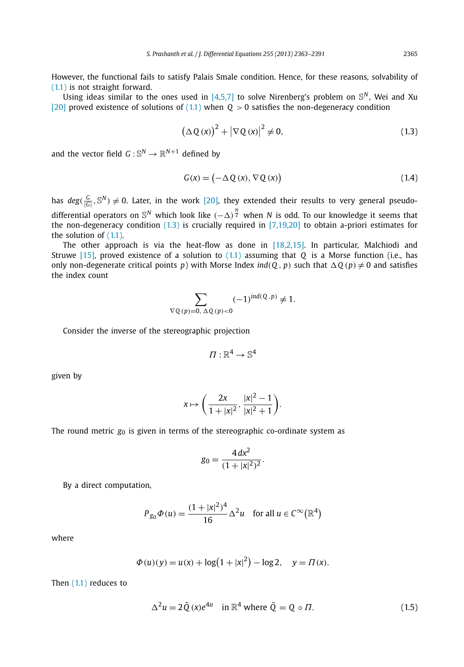However, the functional fails to satisfy Palais Smale condition. Hence, for these reasons, solvability of (1.1) is not straight forward.

Using ideas similar to the ones used in  $[4,5,7]$  to solve Nirenberg's problem on  $\mathbb{S}^N$ , Wei and Xu [20] proved existence of solutions of  $(1.1)$  when  $0 > 0$  satisfies the non-degeneracy condition

$$
\left(\Delta Q\left(x\right)\right)^{2} + \left|\nabla Q\left(x\right)\right|^{2} \neq 0, \tag{1.3}
$$

and the vector field  $G:\mathbb{S}^N\to \mathbb{R}^{N+1}$  defined by

$$
G(x) = (-\Delta Q(x), \nabla Q(x))
$$
\n(1.4)

has  $deg(\frac{G}{|G|}, \mathbb{S}^N) \neq 0$ . Later, in the work [20], they extended their results to very general pseudodifferential operators on  $\mathbb{S}^N$  which look like  $(-\Delta)^{\frac{N}{2}}$  when  $N$  is odd. To our knowledge it seems that the non-degeneracy condition  $(1.3)$  is crucially required in  $[7,19,20]$  to obtain a-priori estimates for the solution of  $(1.1)$ .

The other approach is via the heat-flow as done in [18,2,15]. In particular, Malchiodi and Struwe [15], proved existence of a solution to (1.1) assuming that *Q* is a Morse function (i.e., has only non-degenerate critical points *p*) with Morse Index  $\text{ind}(Q, p)$  such that  $\Delta Q(p) \neq 0$  and satisfies the index count

$$
\sum_{\nabla Q(p)=0, \Delta Q(p)<0} (-1)^{ind(Q,p)} \neq 1.
$$

Consider the inverse of the stereographic projection

$$
\Pi:\mathbb{R}^4\to\mathbb{S}^4
$$

given by

$$
x\mapsto \left(\frac{2x}{1+|x|^2},\frac{|x|^2-1}{|x|^2+1}\right).
$$

The round metric  $g_0$  is given in terms of the stereographic co-ordinate system as

$$
g_0 = \frac{4 dx^2}{(1+|x|^2)^2}.
$$

By a direct computation,

$$
P_{g_0}\Phi(u) = \frac{(1+|x|^2)^4}{16}\Delta^2 u \quad \text{for all } u \in C^\infty(\mathbb{R}^4)
$$

where

$$
\Phi(u)(y) = u(x) + \log(1 + |x|^2) - \log 2, \quad y = \Pi(x).
$$

Then (1.1) reduces to

$$
\Delta^2 u = 2\tilde{Q}(x)e^{4u} \quad \text{in } \mathbb{R}^4 \text{ where } \tilde{Q} = Q \circ \Pi. \tag{1.5}
$$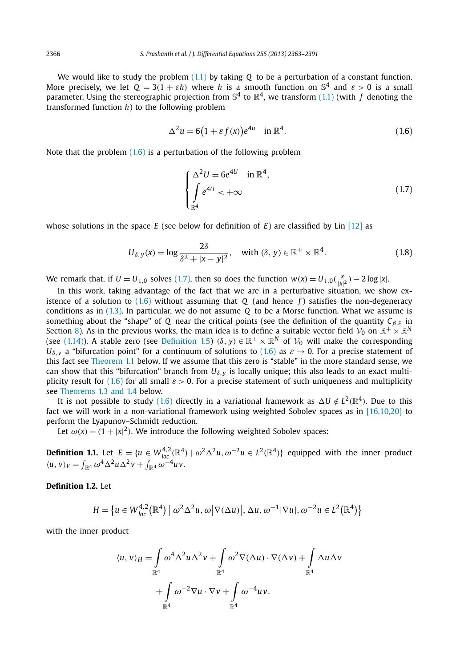We would like to study the problem (1.1) by taking *Q* to be a perturbation of a constant function. More precisely, we let  $Q = 3(1 + \varepsilon h)$  where *h* is a smooth function on  $\mathbb{S}^4$  and  $\varepsilon > 0$  is a small parameter. Using the stereographic projection from  $\mathbb{S}^4$  to  $\mathbb{R}^4$ , we transform (1.1) (with  $f$  denoting the transformed function *h*) to the following problem

$$
\Delta^2 u = 6(1 + \varepsilon f(x))e^{4u} \quad \text{in } \mathbb{R}^4. \tag{1.6}
$$

Note that the problem  $(1.6)$  is a perturbation of the following problem

$$
\begin{cases} \Delta^2 U = 6e^{4U} & \text{in } \mathbb{R}^4, \\ \int e^{4U} < +\infty \\ \mathbb{R}^4 \end{cases}
$$
 (1.7)

whose solutions in the space *E* (see below for definition of *E*) are classified by Lin [12] as

$$
U_{\delta, y}(x) = \log \frac{2\delta}{\delta^2 + |x - y|^2}, \quad \text{with } (\delta, y) \in \mathbb{R}^+ \times \mathbb{R}^4.
$$
 (1.8)

We remark that, if  $U = U_{1,0}$  solves (1.7), then so does the function  $w(x) = U_{1,0}(\frac{x}{|x|^2}) - 2\log|x|$ .

In this work, taking advantage of the fact that we are in a perturbative situation, we show existence of a solution to (1.6) without assuming that *Q* (and hence *f* ) satisfies the non-degeneracy conditions as in (1.3). In particular, we do not assume *Q* to be a Morse function. What we assume is something about the "shape" of *Q* near the critical points (see the definition of the quantity  $C_{\beta,\xi}$  in Section 8). As in the previous works, the main idea is to define a suitable vector field  $\mathcal{V}_0$  on  $\R^+ \times \R^N$ (see (1.14)). A stable zero (see Definition 1.5) ( $\delta, y$ )  $\in \mathbb{R}^+ \times \mathbb{R}^N$  of  $\mathcal{V}_0$  will make the corresponding  $U_{\delta,\nu}$  a "bifurcation point" for a continuum of solutions to (1.6) as  $\varepsilon \to 0$ . For a precise statement of this fact see Theorem 1.1 below. If we assume that this zero is "stable" in the more standard sense, we can show that this "bifurcation" branch from  $U_{\delta, \gamma}$  is locally unique; this also leads to an exact multiplicity result for (1.6) for all small  $\varepsilon > 0$ . For a precise statement of such uniqueness and multiplicity see Theorems 1.3 and 1.4 below.

It is not possible to study (1.6) directly in a variational framework as  $\Delta U \notin L^2(\mathbb{R}^4)$ . Due to this fact we will work in a non-variational framework using weighted Sobolev spaces as in [16,10,20] to perform the Lyapunov–Schmidt reduction.

Let  $\omega(x) = (1 + |x|^2)$ . We introduce the following weighted Sobolev spaces:

**Definition 1.1.** Let  $E = \{u \in W_{loc}^{4,2}(\mathbb{R}^4) \mid \omega^2 \Delta^2 u, \omega^{-2} u \in L^2(\mathbb{R}^4)\}$  equipped with the inner product  $\langle u, v \rangle_E = \int_{\mathbb{R}^4} \omega^4 \Delta^2 u \Delta^2 v + \int_{\mathbb{R}^4} \omega^{-4} u v.$ 

# **Definition 1.2.** Let

$$
H = \left\{ u \in W_{loc}^{4,2}(\mathbb{R}^4) \mid \omega^2 \Delta^2 u, \omega \middle| \nabla(\Delta u) \middle|, \Delta u, \omega^{-1} \middle| \nabla u \middle|, \omega^{-2} u \in L^2(\mathbb{R}^4) \right\}
$$

with the inner product

$$
\langle u, v \rangle_H = \int_{\mathbb{R}^4} \omega^4 \Delta^2 u \Delta^2 v + \int_{\mathbb{R}^4} \omega^2 \nabla(\Delta u) \cdot \nabla(\Delta v) + \int_{\mathbb{R}^4} \Delta u \Delta v
$$

$$
+ \int_{\mathbb{R}^4} \omega^{-2} \nabla u \cdot \nabla v + \int_{\mathbb{R}^4} \omega^{-4} uv.
$$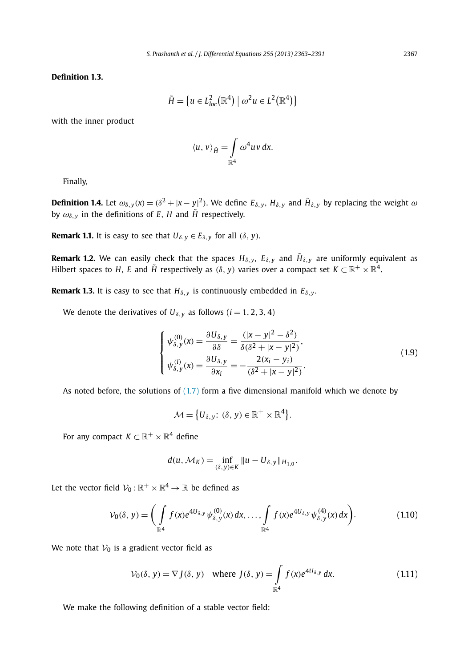**Definition 1.3.**

$$
\tilde{H} = \{ u \in L^2_{loc}(\mathbb{R}^4) \mid \omega^2 u \in L^2(\mathbb{R}^4) \}
$$

with the inner product

$$
\langle u, v \rangle_{\tilde{H}} = \int_{\mathbb{R}^4} \omega^4 u v \, dx.
$$

Finally,

**Definition 1.4.** Let  $\omega_{\delta,y}(x) = (\delta^2 + |x-y|^2)$ . We define  $E_{\delta,y}$ ,  $H_{\delta,y}$  and  $\tilde{H}_{\delta,y}$  by replacing the weight  $\omega$ by  $\omega_{\delta, y}$  in the definitions of *E*, *H* and  $\tilde{H}$  respectively.

**Remark 1.1.** It is easy to see that  $U_{\delta, \gamma} \in E_{\delta, \gamma}$  for all  $(\delta, y)$ .

**Remark 1.2.** We can easily check that the spaces  $H_{\delta,y},\;E_{\delta,y}$  and  $\tilde{H}_{\delta,y}$  are uniformly equivalent as Hilbert spaces to H, E and  $\tilde H$  respectively as  $(\delta, y)$  varies over a compact set  $K \subset \mathbb{R}^+ \times \mathbb{R}^4.$ 

**Remark 1.3.** It is easy to see that  $H_{\delta, \gamma}$  is continuously embedded in  $E_{\delta, \gamma}$ .

We denote the derivatives of  $U_{\delta,y}$  as follows ( $i = 1, 2, 3, 4$ )

$$
\begin{cases}\n\psi_{\delta,y}^{(0)}(x) = \frac{\partial U_{\delta,y}}{\partial \delta} = \frac{(|x - y|^2 - \delta^2)}{\delta(\delta^2 + |x - y|^2)},\\ \n\psi_{\delta,y}^{(i)}(x) = \frac{\partial U_{\delta,y}}{\partial x_i} = -\frac{2(x_i - y_i)}{(\delta^2 + |x - y|^2)}.\n\end{cases}
$$
\n(1.9)

As noted before, the solutions of  $(1.7)$  form a five dimensional manifold which we denote by

$$
\mathcal{M} = \left\{ U_{\delta, y} \colon (\delta, y) \in \mathbb{R}^+ \times \mathbb{R}^4 \right\}.
$$

For any compact  $K \subset \mathbb{R}^+ \times \mathbb{R}^4$  define

$$
d(u, \mathcal{M}_K) = \inf_{(\delta, y) \in K} ||u - U_{\delta, y}||_{H_{1,0}}.
$$

Let the vector field  $\mathcal{V}_0$  :  $\mathbb{R}^+ \times \mathbb{R}^4 \to \mathbb{R}$  be defined as

$$
\mathcal{V}_0(\delta, y) = \bigg( \int_{\mathbb{R}^4} f(x) e^{4U_{\delta, y}} \psi_{\delta, y}^{(0)}(x) dx, \dots, \int_{\mathbb{R}^4} f(x) e^{4U_{\delta, y}} \psi_{\delta, y}^{(4)}(x) dx \bigg). \tag{1.10}
$$

We note that  $V_0$  is a gradient vector field as

$$
\mathcal{V}_0(\delta, y) = \nabla J(\delta, y) \quad \text{where } J(\delta, y) = \int_{\mathbb{R}^4} f(x) e^{4U_{\delta, y}} dx. \tag{1.11}
$$

We make the following definition of a stable vector field: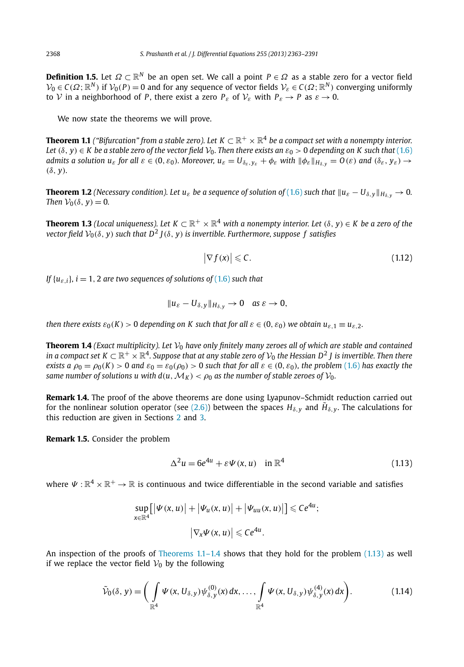**Definition 1.5.** Let  $\varOmega\subset\mathbb{R}^N$  be an open set. We call a point  $P\in\varOmega$  as a stable zero for a vector field  $\mathcal{V}_0 \in C(\Omega;\mathbb{R}^N)$  if  $\mathcal{V}_0(P) = 0$  and for any sequence of vector fields  $\mathcal{V}_\varepsilon \in C(\Omega;\mathbb{R}^N)$  converging uniformly to *V* in a neighborhood of *P*, there exist a zero  $P_{\varepsilon}$  of  $V_{\varepsilon}$  with  $P_{\varepsilon} \to P$  as  $\varepsilon \to 0$ .

We now state the theorems we will prove.

**Theorem 1.1** ("Bifurcation" from a stable zero). Let  $K\subset \R^+\times \R^4$  be a compact set with a nonempty interior. *Let*  $(\delta, y) \in K$  *be a stable zero of the vector field*  $V_0$ *. Then there exists an*  $\varepsilon_0 > 0$  *depending on* K such that (1.6) *admits a solution u<sub>ε</sub> for all*  $\varepsilon \in (0, \varepsilon_0)$ *. Moreover, u<sub>\varepsilon</sub> = U* $<sub>δε</sub>,  $y_{\varepsilon} + \phi_{\varepsilon}$  *with*  $\|\phi_{\varepsilon}\|_{H_{\delta y}} = O(\varepsilon)$  *and*  $(\delta_{\varepsilon}, y_{\varepsilon}) \to$ </sub>$ (δ, *y*)*.*

**Theorem 1.2** *(Necessary condition). Let*  $u_{\varepsilon}$  *<i>be a sequence of solution of* (1.6) *such that*  $||u_{\varepsilon} - U_{\delta,y}||_{H_{\delta,y}} \to 0$ *. Then*  $V_0(\delta, y) = 0$ *.* 

**Theorem 1.3** (Local uniqueness). Let  $K \subset \mathbb{R}^+ \times \mathbb{R}^4$  with a nonempty interior. Let  $(\delta, y) \in K$  be a zero of the  $\emph{vector field $\mathcal{V}_0(\delta,y)$ such that $D^2\text{ } J(\delta,y)$ is invertible. Furthermore, suppose $f$ satisfies}$ 

$$
\left|\nabla f(x)\right| \leqslant C.\tag{1.12}
$$

*If*  $\{u_{\varepsilon,i}\}\$ *, i* = 1, 2 *are two sequences of solutions of* (1.6) *such that* 

$$
||u_{\varepsilon}-U_{\delta,y}||_{H_{\delta,y}}\to 0 \quad \text{as } \varepsilon\to 0,
$$

*then there exists*  $\varepsilon_0(K) > 0$  *depending on* K such that for all  $\varepsilon \in (0, \varepsilon_0)$  we obtain  $u_{\varepsilon,1} \equiv u_{\varepsilon,2}$ .

**Theorem 1.4** *(Exact multiplicity). Let*  $V_0$  *have only finitely many zeroes all of which are stable and contained* in a compact set  $K\subset\R^+\times\R^4.$  Suppose that at any stable zero of  $\mathcal{V}_0$  the Hessian D<sup>2</sup> J is invertible. Then there *exists a*  $\rho_0 = \rho_0(K) > 0$  *and*  $\varepsilon_0 = \varepsilon_0(\rho_0) > 0$  *such that for all*  $\varepsilon \in (0, \varepsilon_0)$ *, the problem* (1.6) *has exactly the same number of solutions u with*  $d(u, \mathcal{M}_K) < \rho_0$  *as the number of stable zeroes of*  $\mathcal{V}_0$ *.* 

**Remark 1.4.** The proof of the above theorems are done using Lyapunov–Schmidt reduction carried out for the nonlinear solution operator (see (2.6)) between the spaces  $H_{\delta,y}$  and  $\tilde{H}_{\delta,y}$ . The calculations for this reduction are given in Sections 2 and 3.

**Remark 1.5.** Consider the problem

$$
\Delta^2 u = 6e^{4u} + \varepsilon \Psi(x, u) \quad \text{in } \mathbb{R}^4 \tag{1.13}
$$

where  $\Psi:\mathbb{R}^4\times\mathbb{R}^+\to\mathbb{R}$  is continuous and twice differentiable in the second variable and satisfies

$$
\sup_{x \in \mathbb{R}^4} [|\Psi(x, u)| + |\Psi_u(x, u)| + |\Psi_{uu}(x, u)|] \le Ce^{4u};
$$
  

$$
|\nabla_x \Psi(x, u)| \le Ce^{4u}.
$$

An inspection of the proofs of Theorems  $1.1-1.4$  shows that they hold for the problem  $(1.13)$  as well if we replace the vector field  $V_0$  by the following

$$
\widetilde{\mathcal{V}}_0(\delta, y) = \bigg( \int\limits_{\mathbb{R}^4} \Psi(x, U_{\delta, y}) \psi_{\delta, y}^{(0)}(x) dx, \dots, \int\limits_{\mathbb{R}^4} \Psi(x, U_{\delta, y}) \psi_{\delta, y}^{(4)}(x) dx \bigg). \tag{1.14}
$$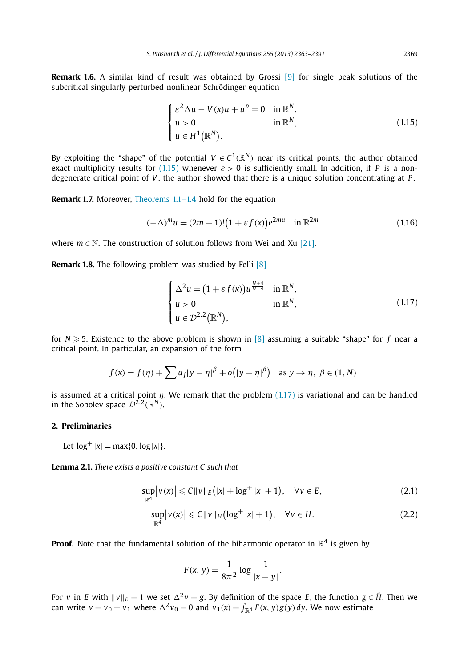**Remark 1.6.** A similar kind of result was obtained by Grossi [9] for single peak solutions of the subcritical singularly perturbed nonlinear Schrödinger equation

$$
\begin{cases}\n\varepsilon^2 \Delta u - V(x)u + u^p = 0 & \text{in } \mathbb{R}^N, \\
u > 0 & \text{in } \mathbb{R}^N, \\
u \in H^1(\mathbb{R}^N).\n\end{cases}
$$
\n(1.15)

By exploiting the "shape" of the potential  $V \in C^1(\mathbb{R}^N)$  near its critical points, the author obtained exact multiplicity results for (1.15) whenever  $\varepsilon > 0$  is sufficiently small. In addition, if *P* is a nondegenerate critical point of *V* , the author showed that there is a unique solution concentrating at *P* .

**Remark 1.7.** Moreover, Theorems 1.1–1.4 hold for the equation

$$
(-\Delta)^m u = (2m - 1)!(1 + \varepsilon f(x))e^{2mu} \quad \text{in } \mathbb{R}^{2m}
$$
 (1.16)

where  $m \in \mathbb{N}$ . The construction of solution follows from Wei and Xu [21].

**Remark 1.8.** The following problem was studied by Felli [8]

$$
\begin{cases}\n\Delta^2 u = (1 + \varepsilon f(x))u^{\frac{N+4}{N-4}} & \text{in } \mathbb{R}^N, \\
u > 0 & \text{in } \mathbb{R}^N, \\
u \in \mathcal{D}^{2,2}(\mathbb{R}^N),\n\end{cases}
$$
\n(1.17)

for  $N \geqslant 5$ . Existence to the above problem is shown in [8] assuming a suitable "shape" for *f* near a critical point. In particular, an expansion of the form

$$
f(x) = f(\eta) + \sum a_j |y - \eta|^\beta + o(|y - \eta|^\beta) \text{ as } y \to \eta, \ \beta \in (1, N)
$$

is assumed at a critical point  $\eta$ . We remark that the problem  $(1.17)$  is variational and can be handled in the Sobolev space  $\mathcal{D}^{2,2}(\mathbb{R}^N)$ .

# **2. Preliminaries**

Let  $log^+ |x| = max\{0, log |x|\}.$ 

**Lemma 2.1.** *There exists a positive constant C such that*

$$
\sup_{\mathbb{R}^4} |v(x)| \leq C ||v||_E (|x| + \log^+ |x| + 1), \quad \forall v \in E,
$$
\n(2.1)

$$
\sup_{\mathbb{R}^4} |v(x)| \leqslant C \|v\|_H \bigl(\log^+|x|+1\bigr), \quad \forall v \in H. \tag{2.2}
$$

**Proof.** Note that the fundamental solution of the biharmonic operator in  $\mathbb{R}^4$  is given by

$$
F(x, y) = \frac{1}{8\pi^2} \log \frac{1}{|x - y|}.
$$

For *v* in *E* with  $\|v\|_E = 1$  we set  $\Delta^2 v = g$ . By definition of the space *E*, the function  $g \in \tilde{H}$ . Then we can write  $v = v_0 + v_1$  where  $\Delta^2 v_0 = 0$  and  $v_1(x) = \int_{\mathbb{R}^4} F(x, y)g(y) dy$ . We now estimate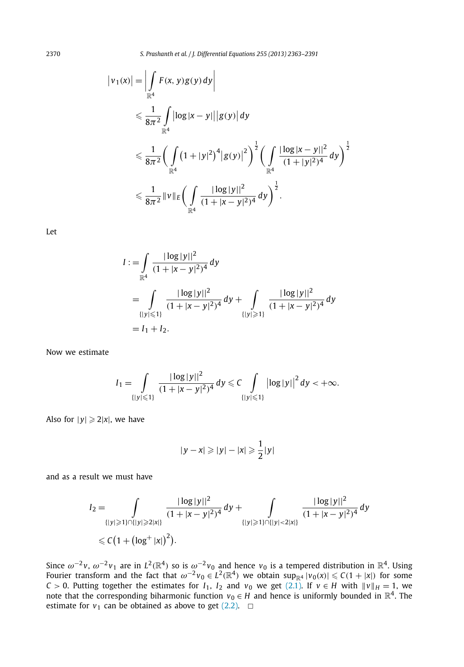2370 *S. Prashanth et al. / J. Differential Equations 255 (2013) 2363–2391*

$$
\begin{split} \left|v_{1}(x)\right| &= \left|\int\limits_{\mathbb{R}^{4}} F(x,y)g(y) \,dy\right| \\ &\leqslant \frac{1}{8\pi^{2}} \int\limits_{\mathbb{R}^{4}} \left|\log|x-y|\right| \left|g(y)\right| dy \\ &\leqslant \frac{1}{8\pi^{2}} \bigg(\int\limits_{\mathbb{R}^{4}} \left(1+|y|^{2}\right)^{4} \left|g(y)\right|^{2}\bigg)^{\frac{1}{2}} \bigg(\int\limits_{\mathbb{R}^{4}} \frac{\left|\log|x-y|\right|^{2}}{(1+|y|^{2})^{4}} \,dy\bigg)^{\frac{1}{2}} \\ &\leqslant \frac{1}{8\pi^{2}} \left\|v\right\|_{E} \bigg(\int\limits_{\mathbb{R}^{4}} \frac{\left|\log|y|\right|^{2}}{(1+|x-y|^{2})^{4}} \,dy\bigg)^{\frac{1}{2}}. \end{split}
$$

Let

$$
I := \int_{\mathbb{R}^4} \frac{|\log |y||^2}{(1+|x-y|^2)^4} dy
$$
  
= 
$$
\int_{\{|y| \le 1\}} \frac{|\log |y||^2}{(1+|x-y|^2)^4} dy + \int_{\{|y| \ge 1\}} \frac{|\log |y||^2}{(1+|x-y|^2)^4} dy
$$
  
=  $I_1 + I_2$ .

Now we estimate

$$
I_1 = \int_{\{|y| \leqslant 1\}} \frac{|\log |y||^2}{(1+|x-y|^2)^4} \, dy \leqslant C \int_{\{|y| \leqslant 1\}} \left|\log |y|\right|^2 dy < +\infty.
$$

Also for  $|y| \geqslant 2|x|$ , we have

$$
|y-x|\geqslant |y|-|x|\geqslant \frac{1}{2}|y|
$$

and as a result we must have

$$
I_2 = \int_{\{|y| \ge 1\} \cap \{|y| \ge 2|x|\}} \frac{|\log |y||^2}{(1+|x-y|^2)^4} dy + \int_{\{|y| \ge 1\} \cap \{|y| < 2|x|\}} \frac{|\log |y||^2}{(1+|x-y|^2)^4} dy
$$
  
\$\le C \left(1 + \left(\log^+ |x|\right)^2\right).

Since  $\omega^{-2}v$ ,  $\omega^{-2}v_1$  are in  $L^2(\mathbb{R}^4)$  so is  $\omega^{-2}v_0$  and hence  $v_0$  is a tempered distribution in  $\mathbb{R}^4$ . Using Fourier transform and the fact that  $\omega^{-2}v_0\in L^2(\mathbb{R}^4)$  we obtain  $\sup_{\mathbb{R}^4} |v_0(x)|\leqslant C(1+|x|)$  for some *C* > 0. Putting together the estimates for *I*<sub>1</sub>, *I*<sub>2</sub> and *v*<sub>0</sub> we get (2.1). If *v* ∈ *H* with  $||v||_H = 1$ , we note that the corresponding biharmonic function  $v_0 \in H$  and hence is uniformly bounded in  $\mathbb{R}^4.$  The estimate for  $v_1$  can be obtained as above to get  $(2.2)$ .  $\Box$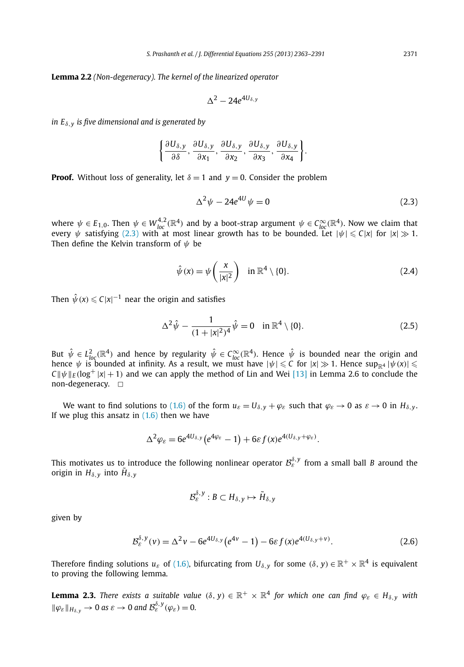**Lemma 2.2** *(Non-degeneracy). The kernel of the linearized operator*

$$
\Delta^2-24e^{4U_{\delta,y}}
$$

*in E*δ,*<sup>y</sup> is five dimensional and is generated by*

$$
\left\{\frac{\partial U_{\delta,y}}{\partial \delta},\frac{\partial U_{\delta,y}}{\partial x_1},\frac{\partial U_{\delta,y}}{\partial x_2},\frac{\partial U_{\delta,y}}{\partial x_3},\frac{\partial U_{\delta,y}}{\partial x_4}\right\}.
$$

**Proof.** Without loss of generality, let  $\delta = 1$  and  $y = 0$ . Consider the problem

$$
\Delta^2 \psi - 24e^{4U} \psi = 0 \tag{2.3}
$$

where  $\psi \in E_{1,0}$ . Then  $\psi \in W_{loc}^{4,2}(\mathbb{R}^4)$  and by a boot-strap argument  $\psi \in C_{loc}^{\infty}(\mathbb{R}^4)$ . Now we claim that every  $\psi$  satisfying (2.3) with at most linear growth has to be bounded. Let  $|\psi| \leqslant C|x|$  for  $|x| \gg 1$ . Then define the Kelvin transform of  $\psi$  be

$$
\hat{\psi}(x) = \psi\left(\frac{x}{|x|^2}\right) \quad \text{in } \mathbb{R}^4 \setminus \{0\}.
$$
\n(2.4)

Then  $\hat{\psi}\left(x\right)\leqslant C|x|^{-1}$  near the origin and satisfies

$$
\Delta^2 \hat{\psi} - \frac{1}{(1+|x|^2)^4} \hat{\psi} = 0 \quad \text{in } \mathbb{R}^4 \setminus \{0\}. \tag{2.5}
$$

But  $\hat{\psi} \in L^2_{loc}(\mathbb{R}^4)$  and hence by regularity  $\hat{\psi} \in C^\infty_{loc}(\mathbb{R}^4)$ . Hence  $\hat{\psi}$  is bounded near the origin and hence  $\psi$  is bounded at infinity. As a result, we must have  $|\psi| \leqslant C$  for  $|x| \gg 1$ . Hence  $\sup_{\mathbb{R}^4} |\psi(x)| \leqslant$  $C \psi / \varepsilon (\log^+ |x| + 1)$  and we can apply the method of Lin and Wei [13] in Lemma 2.6 to conclude the non-degeneracy.  $\Box$ 

We want to find solutions to (1.6) of the form  $u_{\varepsilon} = U_{\delta,\nu} + \varphi_{\varepsilon}$  such that  $\varphi_{\varepsilon} \to 0$  as  $\varepsilon \to 0$  in  $H_{\delta,\nu}$ . If we plug this ansatz in  $(1.6)$  then we have

$$
\Delta^2 \varphi_{\varepsilon} = 6e^{4U_{\delta,y}}(e^{4\varphi_{\varepsilon}}-1) + 6\varepsilon f(x)e^{4(U_{\delta,y}+\varphi_{\varepsilon})}.
$$

This motivates us to introduce the following nonlinear operator  $\mathcal{B}^{\delta,\mathsf{y}}_{\mathcal{E}}$  from a small ball  $B$  around the origin in  $H_{\delta,\,y}$  into  $\tilde{H}_{\delta,\,y}$ 

$$
\mathcal{B}_{\varepsilon}^{\delta,\,y}:B\subset H_{\delta,\,y}\mapsto\tilde{H}_{\delta,\,y}
$$

given by

$$
\mathcal{B}_{\varepsilon}^{\delta,\,y}(v) = \Delta^2 v - 6e^{4U_{\delta,\,y}}\big(e^{4v} - 1\big) - 6\varepsilon f(x)e^{4(U_{\delta,\,y} + v)}.\tag{2.6}
$$

Therefore finding solutions  $u_\varepsilon$  of (1.6), bifurcating from  $U_{\delta, y}$  for some  $(\delta, y)\in \mathbb{R}^+\times\mathbb{R}^4$  is equivalent to proving the following lemma.

 ${\bf Lemma}$  2.3. *There exists a suitable value* ( $\delta, y) \in \mathbb{R}^+ \times \mathbb{R}^4$  for which one can find  $\varphi_\varepsilon \in H_{\delta, y}$  with  $\|\varphi_{\varepsilon}\|_{H_{\delta,y}} \to 0$  as  $\varepsilon \to 0$  and  $\mathcal{B}_{\varepsilon}^{\delta,y}(\varphi_{\varepsilon}) = 0$ .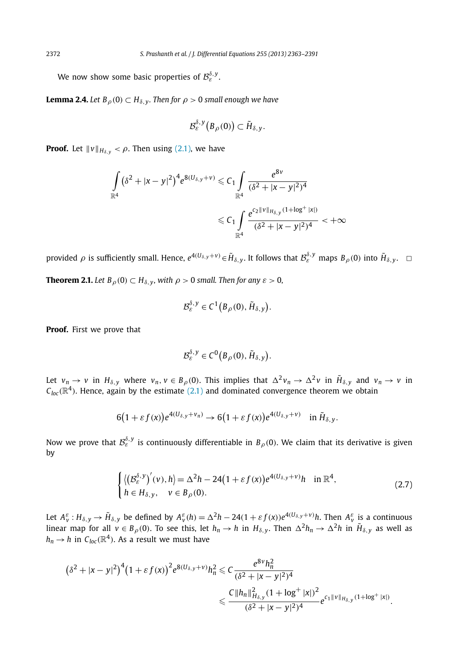We now show some basic properties of  $\mathcal{B}^{\delta,\mathsf{y}}_{\varepsilon}.$ 

**Lemma 2.4.** *Let*  $B_{\rho}(0) \subset H_{\delta,\gamma}$ *. Then for*  $\rho > 0$  *small enough we have* 

$$
\mathcal{B}_{\varepsilon}^{\delta,\,y}\big(B_{\rho}(0)\big)\subset\tilde{H}_{\delta,\,y}.
$$

**Proof.** Let  $\|\nu\|_{H_{\delta,\nu}} < \rho$ . Then using (2.1), we have

$$
\begin{aligned} \int\limits_{\mathbb{R}^4} \big(\delta^2 + |x-y|^2\big)^4 e^{8(U_{\delta,y}+v)} &\leq C_1 \int\limits_{\mathbb{R}^4} \frac{e^{8v}}{(\delta^2 + |x-y|^2)^4} \\ &\leq C_1 \int\limits_{\mathbb{R}^4} \frac{e^{c_2\|v\|_{H_{\delta,y}}(1+\log^+|x|)}}{(\delta^2 + |x-y|^2)^4} &< +\infty \end{aligned}
$$

provided  $\rho$  is sufficiently small. Hence,  $e^{4(U_{\delta,y}+\nu)}$   $\in$   $\tilde{H}_{\delta,y}$ . It follows that  $\mathcal{B}_{\mathcal{E}}^{\delta,y}$  maps  $B_{\rho}(0)$  into  $\tilde{H}_{\delta,y}$ .  $\;\;\Box$ 

**Theorem 2.1.** *Let*  $B_\rho(0) \subset H_{\delta, y}$ , with  $\rho > 0$  *small. Then for any*  $\varepsilon > 0$ ,

$$
\mathcal{B}_{\varepsilon}^{\delta,\,y}\in C^1\big(B_{\rho}(0),\,\tilde{H}_{\delta,\,y}\big).
$$

**Proof.** First we prove that

$$
\mathcal{B}_{\varepsilon}^{\delta,\,y}\in C^0\big(B_{\rho}(0),\,\tilde{H}_{\delta,\,y}\big).
$$

Let  $v_n \to v$  in  $H_{\delta,y}$  where  $v_n, v \in B_\rho(0)$ . This implies that  $\Delta^2 v_n \to \Delta^2 v$  in  $\tilde{H}_{\delta,y}$  and  $v_n \to v$  in  $\mathcal{C}_\textit{loc}(\mathbb{R}^4)$ . Hence, again by the estimate (2.1) and dominated convergence theorem we obtain

$$
6(1+\varepsilon f(x))e^{4(U_{\delta,y}+v_n)} \to 6(1+\varepsilon f(x))e^{4(U_{\delta,y}+v)} \quad \text{in }\widetilde{H}_{\delta,y}.
$$

Now we prove that  $\mathcal{B}^{\delta,\mathsf{y}}_\varepsilon$  is continuously differentiable in  $B_\rho(0).$  We claim that its derivative is given by

$$
\begin{cases} \langle (\mathcal{B}_{\varepsilon}^{\delta,\nu})'(\nu), h \rangle = \Delta^2 h - 24(1 + \varepsilon f(x))e^{4(U_{\delta,\nu} + \nu)}h & \text{in } \mathbb{R}^4, \\ h \in H_{\delta,\nu}, \quad \nu \in B_{\rho}(0). \end{cases}
$$
(2.7)

Let  $A^{\varepsilon}_v:H_{\delta,y}\to \tilde H_{\delta,y}$  be defined by  $A^{\varepsilon}_v(h)=\Delta^2 h-24(1+\varepsilon f(x))e^{4(U_{\delta,y}+v)}h$ . Then  $A^{\varepsilon}_v$  is a continuous linear map for all  $v \in B_\rho(0).$  To see this, let  $h_n \to h$  in  $H_{\delta,y}.$  Then  $\Delta^2 h_n \to \Delta^2 h$  in  $\tilde H_{\delta,y}$  as well as  $h_n \to h$  in  $C_{loc}(\mathbb{R}^4).$  As a result we must have

$$
(\delta^2 + |x - y|^2)^4 (1 + \varepsilon f(x))^2 e^{8(U_{\delta,y} + v)} h_n^2 \leq C \frac{e^{8v} h_n^2}{(\delta^2 + |x - y|^2)^4}
$$
  

$$
\leq \frac{C \|h_n\|_{H_{\delta,y}}^2 (1 + \log^+ |x|)^2}{(\delta^2 + |x - y|^2)^4} e^{c_1 \|v\|_{H_{\delta,y}} (1 + \log^+ |x|)}.
$$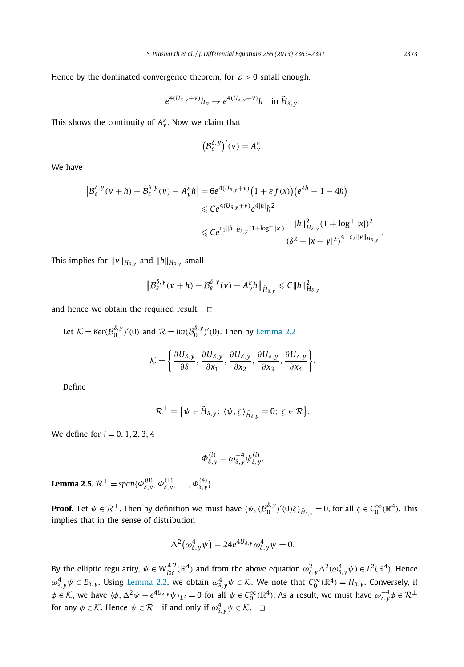Hence by the dominated convergence theorem, for  $\rho > 0$  small enough,

$$
e^{4(U_{\delta,y}+v)}h_n \to e^{4(U_{\delta,y}+v)}h \quad \text{in } \tilde{H}_{\delta,y}.
$$

This shows the continuity of  $A_v^{\varepsilon}$ . Now we claim that

$$
\big(\mathcal{B}_{\varepsilon}^{\delta,\,y}\big)'(v)=A_{v}^{\varepsilon}.
$$

We have

$$
\begin{aligned} \left| \mathcal{B}_{\varepsilon}^{\delta, y}(v+h) - \mathcal{B}_{\varepsilon}^{\delta, y}(v) - A_{v}^{\varepsilon}h \right| &= 6e^{4(U_{\delta, y} + v)} \big( 1 + \varepsilon f(x) \big) \big( e^{4h} - 1 - 4h \big) \\ &\leqslant C e^{4(U_{\delta, y} + v)} e^{4|h|} h^{2} \\ &\leqslant C e^{c_{1} \|h\|_{H_{\delta, y}} (1 + \log^{+} |x|)} \frac{\|h\|_{H_{\delta, y}}^{2} (1 + \log^{+} |x|)^{2}}{(\delta^{2} + |x - y|^{2})^{4 - c_{2} \|v\|_{H_{\delta, y}}}} \end{aligned}
$$

This implies for  $\|v\|_{H_{\delta,\boldsymbol{y}}}$  and  $\|h\|_{H_{\delta,\boldsymbol{y}}}$  small

$$
\left\|\mathcal{B}_{\varepsilon}^{\delta,\mathsf{y}}(v+h)-\mathcal{B}_{\varepsilon}^{\delta,\mathsf{y}}(v)-A_{v}^{\varepsilon}h\right\|_{\tilde{H}_{\delta,\mathsf{y}}}\leqslant C\|h\|_{H_{\delta,\mathsf{y}}}^2
$$

and hence we obtain the required result.  $\Box$ 

Let 
$$
\mathcal{K} = \text{Ker}(\mathcal{B}_0^{\delta, y})'(0)
$$
 and  $\mathcal{R} = \text{Im}(\mathcal{B}_0^{\delta, y})'(0)$ . Then by Lemma 2.2

$$
\mathcal{K} = \left\{ \frac{\partial U_{\delta,y}}{\partial \delta}, \frac{\partial U_{\delta,y}}{\partial x_1}, \frac{\partial U_{\delta,y}}{\partial x_2}, \frac{\partial U_{\delta,y}}{\partial x_3}, \frac{\partial U_{\delta,y}}{\partial x_4} \right\}.
$$

Define

$$
\mathcal{R}^{\perp} = \{ \psi \in \tilde{H}_{\delta,y}: \langle \psi, \zeta \rangle_{\tilde{H}_{\delta,y}} = 0; \ \zeta \in \mathcal{R} \}.
$$

We define for  $i = 0, 1, 2, 3, 4$ 

$$
\Phi_{\delta,y}^{(i)} = \omega_{\delta,y}^{-4} \psi_{\delta,y}^{(i)}.
$$

**Lemma 2.5.**  $\mathcal{R}^{\perp} = span{\{\Phi_{\delta,y}^{(0)}, \Phi_{\delta,y}^{(1)}, \ldots, \Phi_{\delta,y}^{(4)}\}}.$ 

**Proof.** Let  $\psi \in \mathcal{R}^{\perp}$ . Then by definition we must have  $\langle \psi, (\mathcal{B}_{0}^{\delta,y})'(0)\zeta \rangle_{\tilde{H}_{\delta,y}} = 0$ , for all  $\zeta \in \mathcal{C}_{0}^{\infty}(\mathbb{R}^{4})$ . This implies that in the sense of distribution

$$
\Delta^2\big(\omega_{\delta,y}^4\psi\big) - 24e^{4U_{\delta,y}}\omega_{\delta,y}^4\psi = 0.
$$

By the elliptic regularity,  $\psi \in W^{4,2}_{loc}(\mathbb{R}^4)$  and from the above equation  $\omega^2_{\delta,y}\Delta^2(\omega^4_{\delta,y}\psi) \in L^2(\mathbb{R}^4)$ . Hence  $\omega_{\delta,y}^4\psi\in E_{\delta,y}.$  Using Lemma 2.2, we obtain  $\omega_{\delta,y}^4\psi\in\mathcal{K}.$  We note that  $\overline{\mathcal{C}_0^\infty(\mathbb{R}^4)}=H_{\delta,y}.$  Conversely, if  $\phi\in\mathcal{K}$ , we have  $\langle\phi,\Delta^2\psi-e^{4U_{\delta,y}}\psi\rangle_{L^2}=0$  for all  $\psi\in\mathcal{C}_0^\infty(\mathbb{R}^4).$  As a result, we must have  $\omega_{\delta,y}^{-4}\phi\in\mathcal{R}^\perp$ for any  $\phi \in \mathcal{K}$ . Hence  $\psi \in \mathcal{R}^{\perp}$  if and only if  $\omega^4_{\delta, y} \psi \in \mathcal{K}$ .  $\Box$ 

.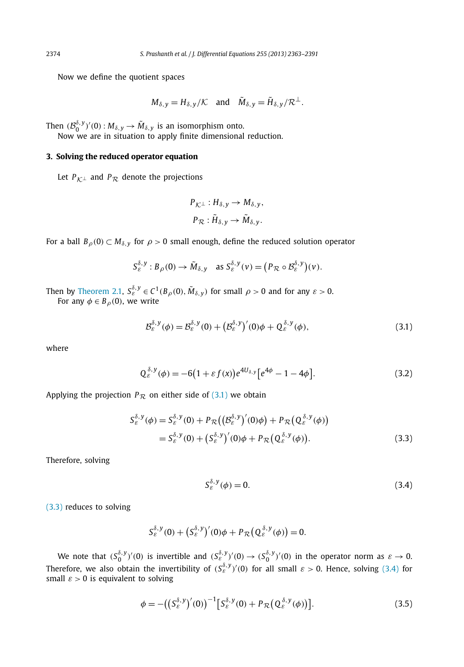Now we define the quotient spaces

$$
M_{\delta,y} = H_{\delta,y}/\mathcal{K}
$$
 and  $\tilde{M}_{\delta,y} = \tilde{H}_{\delta,y}/\mathcal{R}^{\perp}$ .

Then  $(\mathcal{B}_0^{\delta,y})'(0) : M_{\delta,y} \to \tilde{M}_{\delta,y}$  is an isomorphism onto.

Now we are in situation to apply finite dimensional reduction.

## **3. Solving the reduced operator equation**

Let  $P_{K^{\perp}}$  and  $P_{R}$  denote the projections

$$
P_{\mathcal{K}^{\perp}} : H_{\delta, y} \to M_{\delta, y},
$$
  

$$
P_{\mathcal{R}} : \tilde{H}_{\delta, y} \to \tilde{M}_{\delta, y}.
$$

For a ball  $B_{\rho}(0) \subset M_{\delta,y}$  for  $\rho > 0$  small enough, define the reduced solution operator

$$
S_{\varepsilon}^{\delta, y}: B_{\rho}(0) \to \tilde{M}_{\delta, y} \quad \text{as } S_{\varepsilon}^{\delta, y}(v) = (P_{\mathcal{R}} \circ \mathcal{B}_{\varepsilon}^{\delta, y})(v).
$$

Then by Theorem 2.1,  $S_{\varepsilon}^{\delta,y}\in C^1(B_\rho(0),\tilde{M}_{\delta,y})$  for small  $\rho>0$  and for any  $\varepsilon>0$ . For any  $\phi \in B_{\rho}(0)$ , we write

$$
\mathcal{B}_{\varepsilon}^{\delta,\mathsf{y}}(\phi) = \mathcal{B}_{\varepsilon}^{\delta,\mathsf{y}}(0) + \left(\mathcal{B}_{\varepsilon}^{\delta,\mathsf{y}}\right)'(0)\phi + \mathcal{Q}_{\varepsilon}^{\delta,\mathsf{y}}(\phi),\tag{3.1}
$$

where

$$
Q_{\varepsilon}^{\delta, y}(\phi) = -6(1 + \varepsilon f(x))e^{4U_{\delta, y}}[e^{4\phi} - 1 - 4\phi].
$$
 (3.2)

Applying the projection  $P_{\mathcal{R}}$  on either side of (3.1) we obtain

$$
S_{\varepsilon}^{\delta,y}(\phi) = S_{\varepsilon}^{\delta,y}(0) + P_{\mathcal{R}}\big( \big( \mathcal{B}_{\varepsilon}^{\delta,y} \big)'(0)\phi \big) + P_{\mathcal{R}}\big( Q_{\varepsilon}^{\delta,y}(\phi) \big) = S_{\varepsilon}^{\delta,y}(0) + \big( S_{\varepsilon}^{\delta,y} \big)'(0)\phi + P_{\mathcal{R}}\big( Q_{\varepsilon}^{\delta,y}(\phi) \big).
$$
(3.3)

Therefore, solving

$$
S_{\varepsilon}^{\delta,\mathsf{y}}(\phi) = 0. \tag{3.4}
$$

(3.3) reduces to solving

$$
S_{\varepsilon}^{\delta,\,y}(0)+\big(S_{\varepsilon}^{\delta,\,y}\big)'(0)\phi+P_{\mathcal{R}}\big(Q_{\varepsilon}^{\delta,\,y}(\phi)\big)=0.
$$

We note that  $(S_0^{\delta,y})'(0)$  is invertible and  $(S_\varepsilon^{\delta,y})'(0) \to (S_0^{\delta,y})'(0)$  in the operator norm as  $\varepsilon \to 0$ . Therefore, we also obtain the invertibility of  $(S^{ \delta, y }_{ \varepsilon} )' (0)$  for all small  $\varepsilon >0$ . Hence, solving (3.4) for small  $\varepsilon > 0$  is equivalent to solving

$$
\phi = -((S_{\varepsilon}^{\delta, y})'(0))^{-1} [S_{\varepsilon}^{\delta, y}(0) + P_{\mathcal{R}}(Q_{\varepsilon}^{\delta, y}(\phi))].
$$
\n(3.5)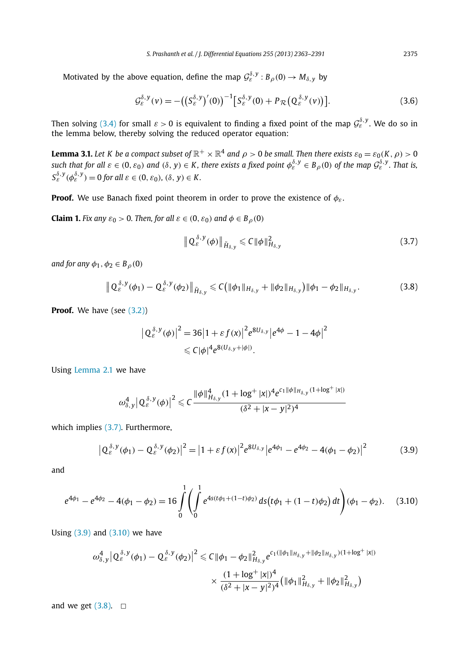Motivated by the above equation, define the map  $\mathcal{G}^{\delta,y}_\varepsilon : B_\rho(0) \to M_{\delta,y}$  by

$$
\mathcal{G}_{\varepsilon}^{\delta,\mathbf{y}}(\mathbf{v}) = -\big(\big(\mathbf{S}_{\varepsilon}^{\delta,\mathbf{y}}\big)'(0)\big)^{-1}\big[\mathbf{S}_{\varepsilon}^{\delta,\mathbf{y}}(0) + P_{\mathcal{R}}\big(\mathbf{Q}_{\varepsilon}^{\delta,\mathbf{y}}(\mathbf{v})\big)\big].\tag{3.6}
$$

Then solving (3.4) for small  $\varepsilon > 0$  is equivalent to finding a fixed point of the map  $\mathcal{G}^{\delta,\mathsf{y}}_\varepsilon.$  We do so in the lemma below, thereby solving the reduced operator equation:

**Lemma 3.1.** Let  $K$  be a compact subset of  $\R^+ \times \R^4$  and  $\rho > 0$  be small. Then there exists  $\varepsilon_0 = \varepsilon_0(K,\rho) > 0$  $s$ uch that for all  $\varepsilon \in (0, \varepsilon_0)$  and  $(\delta, y) \in K$ , there exists a fixed point  $\phi_{\varepsilon}^{\delta, y} \in B_\rho(0)$  of the map  $\mathcal{G}_{\varepsilon}^{\delta, y}$ . That is,  $S_{\varepsilon}^{\delta, y}(\phi_{\varepsilon}^{\delta, y}) = 0$  *for all*  $\varepsilon \in (0, \varepsilon_0)$ *,*  $(\delta, y) \in K$ *.* 

**Proof.** We use Banach fixed point theorem in order to prove the existence of  $\phi_{\varepsilon}$ .

**Claim 1.** *Fix any*  $\varepsilon_0 > 0$ . *Then, for all*  $\varepsilon \in (0, \varepsilon_0)$  *and*  $\phi \in B_\rho(0)$ 

$$
\left\| \mathbf{Q}_{\varepsilon}^{\delta, y}(\phi) \right\|_{\tilde{H}_{\delta, y}} \leqslant C \|\phi\|_{H_{\delta, y}}^2 \tag{3.7}
$$

*and for any*  $\phi_1, \phi_2 \in B_0(0)$ 

$$
\| Q_{\varepsilon}^{\delta, y}(\phi_1) - Q_{\varepsilon}^{\delta, y}(\phi_2) \|_{\tilde{H}_{\delta, y}} \leq C \big( \| \phi_1 \|_{H_{\delta, y}} + \| \phi_2 \|_{H_{\delta, y}} \big) \| \phi_1 - \phi_2 \|_{H_{\delta, y}}. \tag{3.8}
$$

**Proof.** We have (see (3.2))

$$
\left|Q_{\varepsilon}^{\delta,y}(\phi)\right|^2 = 36\left|1 + \varepsilon f(x)\right|^2 e^{8U_{\delta,y}} \left|e^{4\phi} - 1 - 4\phi\right|^2
$$
  

$$
\leq C|\phi|^4 e^{8(U_{\delta,y} + |\phi|)}.
$$

Using Lemma 2.1 we have

$$
\omega^4_{\delta,y} \big| \, Q_{\varepsilon}^{\delta,y} (\phi) \big|^2 \leqslant C \frac{ \|\phi\|_{H_{\delta,y}}^4 (1 + \log^+ |x|)^4 e^{c_1 \|\phi\|_{H_{\delta,y}} (1 + \log^+ |x|)} }{(\delta^2 + |x-y|^2)^4}
$$

which implies (3.7). Furthermore,

$$
\left| Q_{\varepsilon}^{\delta, y}(\phi_1) - Q_{\varepsilon}^{\delta, y}(\phi_2) \right|^2 = \left| 1 + \varepsilon f(x) \right|^2 e^{8U_{\delta, y}} \left| e^{4\phi_1} - e^{4\phi_2} - 4(\phi_1 - \phi_2) \right|^2 \tag{3.9}
$$

and

$$
e^{4\phi_1} - e^{4\phi_2} - 4(\phi_1 - \phi_2) = 16 \int_0^1 \left( \int_0^1 e^{4s(t\phi_1 + (1-t)\phi_2)} ds(t\phi_1 + (1-t)\phi_2) dt \right) (\phi_1 - \phi_2).
$$
 (3.10)

Using (3.9) and (3.10) we have

$$
\begin{aligned} \left. \omega_{\delta,y}^4 \right| Q_{\varepsilon}^{\delta,y}(\phi_1) - Q_{\varepsilon}^{\delta,y}(\phi_2) \right|^2 &\leq C \|\phi_1 - \phi_2\|_{H_{\delta,y}}^2 e^{c_1(\|\phi_1\|_{H_{\delta,y}} + \|\phi_2\|_{H_{\delta,y}})(1 + \log^+ |x|)} \\ &\times \frac{(1 + \log^+ |x|)^4}{(\delta^2 + |x - y|^2)^4} \big( \|\phi_1\|_{H_{\delta,y}}^2 + \|\phi_2\|_{H_{\delta,y}}^2 \big) \end{aligned}
$$

and we get  $(3.8)$ .  $\Box$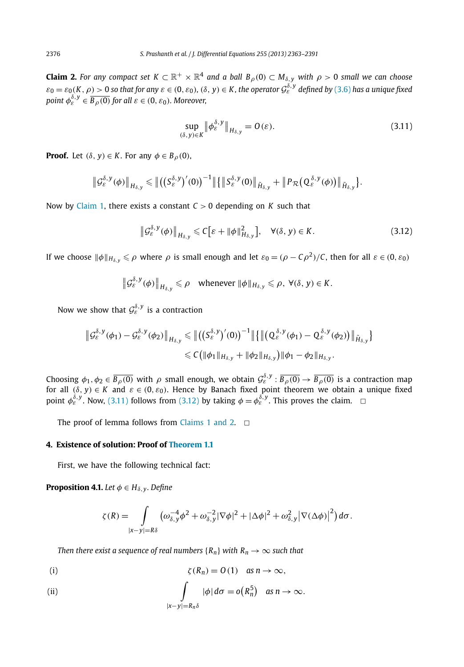**Claim 2.** For any compact set  $K\subset \R^+\times \R^4$  and a ball  $B_\rho(0)\subset M_{\delta,\,y}$  with  $\rho>0$  small we can choose  $\varepsilon_0 = \varepsilon_0(K,\rho) > 0$  so that for any  $\varepsilon \in (0,\varepsilon_0)$ ,  $(\delta,y) \in K$ , the operator  $\mathcal{G}^{\delta,y}_\varepsilon$  defined by  $(3.6)$  has a unique fixed point  $\phi_{\varepsilon}^{\delta,y} \in \overline{B_{\rho}(0)}$  for all  $\varepsilon \in (0,\varepsilon_0)$ *. Moreover,* 

$$
\sup_{(\delta,\,y)\in K} \|\phi_{\varepsilon}^{\delta,\,y}\|_{H_{\delta,\,y}} = O(\varepsilon). \tag{3.11}
$$

**Proof.** Let  $(\delta, y) \in K$ . For any  $\phi \in B_0(0)$ ,

$$
\left\|\mathcal{G}_{\varepsilon}^{\delta,\mathsf{y}}(\phi)\right\|_{H_{\delta,\mathsf{y}}}\leqslant\left\|\left(\left(\mathsf{S}_{\varepsilon}^{\delta,\mathsf{y}}\right)'(0)\right)^{-1}\right\|\left\{\left\|\mathsf{S}_{\varepsilon}^{\delta,\mathsf{y}}(0)\right\|_{\tilde{H}_{\delta,\mathsf{y}}}+\left\|\mathsf{P}_{\mathcal{R}}\left(\mathsf{Q}_{\varepsilon}^{\delta,\mathsf{y}}(\phi)\right)\right\|_{\tilde{H}_{\delta,\mathsf{y}}}\right\}.
$$

Now by Claim 1, there exists a constant *C* > 0 depending on *K* such that

$$
\left\| \mathcal{G}_{\varepsilon}^{\delta,\mathbf{y}}(\phi) \right\|_{H_{\delta,\mathbf{y}}} \leqslant C \big[ \varepsilon + \|\phi\|_{H_{\delta,\mathbf{y}}}^2 \big], \quad \forall (\delta,\mathbf{y}) \in K. \tag{3.12}
$$

If we choose  $\|\phi\|_{H_{\delta,y}} \leqslant \rho$  where  $\rho$  is small enough and let  $\varepsilon_0 = (\rho - C\rho^2)/C$ , then for all  $\varepsilon \in (0,\varepsilon_0)$ 

$$
\left\|\mathcal{G}_{\varepsilon}^{\delta,\mathsf{y}}(\phi)\right\|_{H_{\delta,\mathsf{y}}}\leqslant\rho\quad\text{whenever}\,\left\|\phi\right\|_{H_{\delta,\mathsf{y}}}\leqslant\rho,\,\forall(\delta,\mathsf{y})\in K.
$$

Now we show that  $\mathcal{G}^{\delta,\mathcal{Y}}_{\varepsilon}$  is a contraction

$$
\|\mathcal{G}_{\varepsilon}^{\delta,\mathbf{y}}(\phi_{1})-\mathcal{G}_{\varepsilon}^{\delta,\mathbf{y}}(\phi_{2})\|_{H_{\delta,\mathbf{y}}}\leq \|\big((S_{\varepsilon}^{\delta,\mathbf{y}})'(0)\big)^{-1}\|\big\{\big\|\big(Q_{\varepsilon}^{\delta,\mathbf{y}}(\phi_{1})-Q_{\varepsilon}^{\delta,\mathbf{y}}(\phi_{2})\big)\big\|_{\tilde{H}_{\delta,\mathbf{y}}}\big\}\\ \leq C\big(\|\phi_{1}\|_{H_{\delta,\mathbf{y}}}+\|\phi_{2}\|_{H_{\delta,\mathbf{y}}}\big)\|\phi_{1}-\phi_{2}\|_{H_{\delta,\mathbf{y}}}.
$$

Choosing  $\phi_1, \phi_2 \in \overline{B_\rho(0)}$  with  $\rho$  small enough, we obtain  $\mathcal{G}^{\delta,\mathrm{y}}_\varepsilon : \overline{B_\rho(0)} \to \overline{B_\rho(0)}$  is a contraction map for all  $(\delta, y) \in K$  and  $\varepsilon \in (0, \varepsilon_0)$ . Hence by Banach fixed point theorem we obtain a unique fixed point  $\phi_{\varepsilon}^{\delta,y}$ . Now, (3.11) follows from (3.12) by taking  $\phi = \phi_{\varepsilon}^{\delta,y}$ . This proves the claim.  $\Box$ 

The proof of lemma follows from Claims 1 and 2.  $\Box$ 

# **4. Existence of solution: Proof of Theorem 1.1**

First, we have the following technical fact:

**Proposition 4.1.** *Let*  $\phi \in H_{\delta, \nu}$ *. Define* 

$$
\zeta(R) = \int\limits_{|x-y|=R\delta} \left( \omega_{\delta,y}^{-4} \phi^2 + \omega_{\delta,y}^{-2} |\nabla \phi|^2 + |\Delta \phi|^2 + \omega_{\delta,y}^2 |\nabla (\Delta \phi)|^2 \right) d\sigma.
$$

*Then there exist a sequence of real numbers*  ${R_n}$  *with*  $R_n \to \infty$  *such that* 

(i) 
$$
\zeta(R_n) = O(1) \quad \text{as } n \to \infty,
$$

(ii) 
$$
\int_{|x-y|=R_n\delta} |\phi| d\sigma = o(R_n^5) \text{ as } n \to \infty.
$$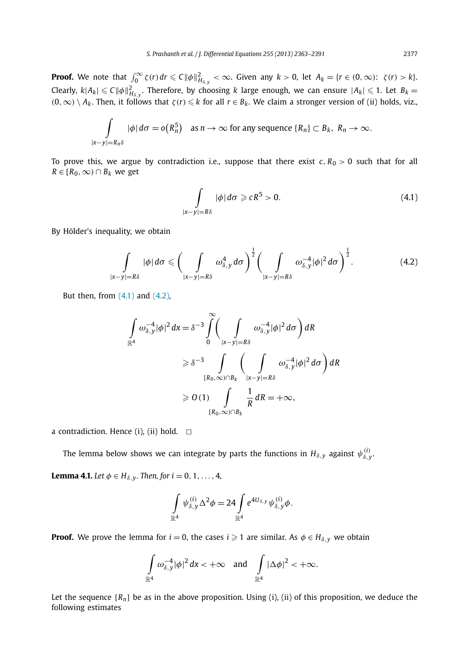**Proof.** We note that  $\int_0^\infty \zeta(r) dr \leq C \|\phi\|_{H_{\delta,y}}^2 < \infty$ . Given any  $k > 0$ , let  $A_k = \{r \in (0,\infty): \ \zeta(r) > k\}.$ Clearly,  $k|A_k| \leqslant C \|\phi\|_{H_{\delta,y}}^2$ . Therefore, by choosing  $k$  large enough, we can ensure  $|A_k| \leqslant 1$ . Let  $B_k =$  $(0, \infty) \setminus A_k$ . Then, it follows that  $\zeta(r) \leq k$  for all  $r \in B_k$ . We claim a stronger version of (ii) holds, viz.,

$$
\int_{|x-y|=R_n\delta} |\phi| d\sigma = o(R_n^5) \quad \text{as } n \to \infty \text{ for any sequence } \{R_n\} \subset B_k, \ R_n \to \infty.
$$

To prove this, we argue by contradiction i.e., suppose that there exist  $c, R_0 > 0$  such that for all  $R ∈ [R_0, ∞) ∩ B_k$  we get

$$
\int_{|x-y|=R\delta} |\phi| d\sigma \geqslant cR^5 > 0.
$$
\n(4.1)

By Hölder's inequality, we obtain

$$
\int\limits_{|x-y|=R\delta}|\phi|\,d\sigma\leqslant\bigg(\int\limits_{|x-y|=R\delta}\omega_{\delta,y}^4\,d\sigma\bigg)^{\frac{1}{2}}\bigg(\int\limits_{|x-y|=R\delta}\omega_{\delta,y}^{-4}|\phi|^2\,d\sigma\bigg)^{\frac{1}{2}}.\tag{4.2}
$$

But then, from  $(4.1)$  and  $(4.2)$ ,

$$
\int_{\mathbb{R}^4} \omega_{\delta, y}^{-4} |\phi|^2 dx = \delta^{-3} \int_{0}^{\infty} \left( \int_{|x-y|=R\delta} \omega_{\delta, y}^{-4} |\phi|^2 d\sigma \right) dR
$$
\n
$$
\geq \delta^{-3} \int_{[R_0, \infty) \cap B_k} \left( \int_{|x-y|=R\delta} \omega_{\delta, y}^{-4} |\phi|^2 d\sigma \right) dR
$$
\n
$$
\geq 0 \text{ (1)} \int_{[R_0, \infty) \cap B_k} \frac{1}{R} dR = +\infty,
$$

a contradiction. Hence (i), (ii) hold.  $\Box$ 

The lemma below shows we can integrate by parts the functions in  $H_{\delta, y}$  against  $\psi_{\delta, y}^{(i)}$ .

**Lemma 4.1.** *Let*  $\phi \in H_{\delta, y}$ *. Then, for*  $i = 0, 1, ..., 4$ *,* 

$$
\int_{\mathbb{R}^4} \psi_{\delta,y}^{(i)} \Delta^2 \phi = 24 \int_{\mathbb{R}^4} e^{4U_{\delta,y}} \psi_{\delta,y}^{(i)} \phi.
$$

**Proof.** We prove the lemma for  $i = 0$ , the cases  $i \geqslant 1$  are similar. As  $\phi \in H_{\delta, y}$  we obtain

$$
\int_{\mathbb{R}^4} \omega_{\delta,y}^{-4} |\phi|^2 dx < +\infty \quad \text{and} \quad \int_{\mathbb{R}^4} |\Delta \phi|^2 < +\infty.
$$

Let the sequence  ${R_n}$  be as in the above proposition. Using (i), (ii) of this proposition, we deduce the following estimates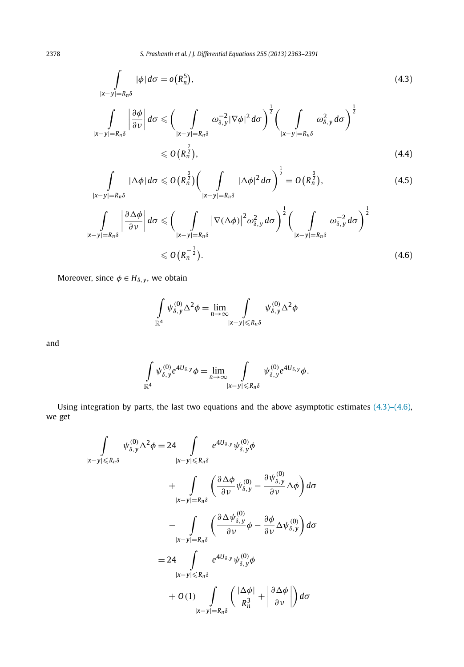$$
\int\limits_{|x-y|=R_n\delta} |\phi| \, d\sigma = o(R_n^5),\tag{4.3}
$$

$$
\int\limits_{|x-y|=R_n\delta}\left|\frac{\partial\phi}{\partial\nu}\right|d\sigma\leqslant\left(\int\limits_{|x-y|=R_n\delta}\omega_{\delta,y}^{-2}|\nabla\phi|^2d\sigma\right)^{\frac{1}{2}}\left(\int\limits_{|x-y|=R_n\delta}\omega_{\delta,y}^2d\sigma\right)^{\frac{1}{2}}\leqslant O\left(R_n^{\frac{7}{2}}\right),\tag{4.4}
$$

$$
\int\limits_{|x-y|=R_n\delta}|\Delta\phi|\,d\sigma\leqslant O\big(R_n^{\frac{3}{2}}\big)\bigg(\int\limits_{|x-y|=R_n\delta}|\Delta\phi|^2\,d\sigma\bigg)^{\frac{1}{2}}=O\big(R_n^{\frac{3}{2}}\big),\tag{4.5}
$$

$$
\int_{|x-y|=R_n\delta} \left| \frac{\partial \Delta \phi}{\partial \nu} \right| d\sigma \leqslant \left( \int_{|x-y|=R_n\delta} |\nabla (\Delta \phi)|^2 \omega_{\delta, y}^2 d\sigma \right)^{\frac{1}{2}} \left( \int_{|x-y|=R_n\delta} \omega_{\delta, y}^{-2} d\sigma \right)^{\frac{1}{2}}
$$
\n
$$
\leqslant O\left(R_n^{-\frac{1}{2}}\right).
$$
\n(4.6)

Moreover, since  $\phi \in H_{\delta, y}$ , we obtain

$$
\int_{\mathbb{R}^4} \psi_{\delta,y}^{(0)} \Delta^2 \phi = \lim_{n \to \infty} \int_{|x-y| \le R_n \delta} \psi_{\delta,y}^{(0)} \Delta^2 \phi
$$

and

$$
\int\limits_{\mathbb{R}^4}\psi_{\delta,y}^{(0)}e^{4U_{\delta,y}}\phi=\lim\limits_{n\to\infty}\int\limits_{|x-y|\leqslant R_n\delta}\psi_{\delta,y}^{(0)}e^{4U_{\delta,y}}\phi.
$$

Using integration by parts, the last two equations and the above asymptotic estimates (4.3)–(4.6), we get

$$
\int_{|x-y| \le R_n \delta} \psi_{\delta,y}^{(0)} \Delta^2 \phi = 24 \int_{|x-y| \le R_n \delta} e^{4U_{\delta,y}} \psi_{\delta,y}^{(0)} \phi
$$
\n
$$
+ \int_{|x-y|=R_n \delta} \left( \frac{\partial \Delta \phi}{\partial \nu} \psi_{\delta,y}^{(0)} - \frac{\partial \psi_{\delta,y}^{(0)}}{\partial \nu} \Delta \phi \right) d\sigma
$$
\n
$$
- \int_{|x-y|=R_n \delta} \left( \frac{\partial \Delta \psi_{\delta,y}^{(0)}}{\partial \nu} \phi - \frac{\partial \phi}{\partial \nu} \Delta \psi_{\delta,y}^{(0)} \right) d\sigma
$$
\n
$$
= 24 \int_{|x-y| \le R_n \delta} e^{4U_{\delta,y}} \psi_{\delta,y}^{(0)} \phi
$$
\n
$$
+ O(1) \int_{|x-y|=R_n \delta} \left( \frac{|\Delta \phi|}{R_n^3} + \left| \frac{\partial \Delta \phi}{\partial \nu} \right| \right) d\sigma
$$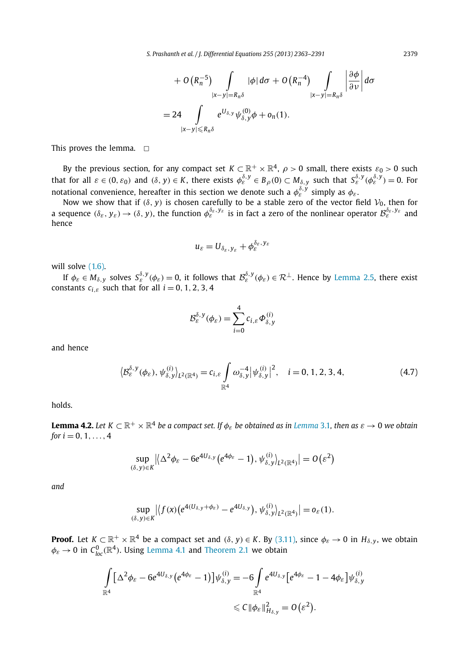*S. Prashanth et al. / J. Differential Equations 255 (2013) 2363–2391* 2379

$$
+ O(R_n^{-5}) \int\limits_{|x-y|=R_n\delta} |\phi| d\sigma + O(R_n^{-4}) \int\limits_{|x-y|=R_n\delta} \left| \frac{\partial \phi}{\partial \nu} \right| d\sigma
$$
  
= 24 \int\limits\_{|x-y| \le R\_n\delta} e^{U\_{\delta,y}} \psi\_{\delta,y}^{(0)} \phi + o\_n(1).

This proves the lemma.  $\square$ 

By the previous section, for any compact set  $K\subset \mathbb{R}^+\times \mathbb{R}^4$ ,  $\rho>0$  small, there exists  $\varepsilon_0>0$  such that for all  $\varepsilon \in (0, \varepsilon_0)$  and  $(\delta, y) \in K$ , there exists  $\phi_{\varepsilon}^{\delta, y} \in B_\rho(0) \subset M_{\delta, y}$  such that  $S_{\varepsilon}^{\delta, y}(\phi_{\varepsilon}^{\delta, y}) = 0$ . For notational convenience, hereafter in this section we denote such a  $\phi^{\delta,\mathsf{y}}_\varepsilon$  simply as  $\phi_\varepsilon.$ 

Now we show that if  $(\delta, y)$  is chosen carefully to be a stable zero of the vector field  $V_0$ , then for a sequence  $(\delta_\varepsilon,y_\varepsilon)\to (\delta,y)$ , the function  $\phi_\varepsilon^{\delta_\varepsilon,y_\varepsilon}$  is in fact a zero of the nonlinear operator  $\mathcal{B}_\varepsilon^{\delta_\varepsilon,y_\varepsilon}$  and hence

$$
u_{\varepsilon}=U_{\delta_{\varepsilon},y_{\varepsilon}}+\phi_{\varepsilon}^{\delta_{\varepsilon},y_{\varepsilon}}
$$

will solve  $(1.6)$ .

If  $\phi_\varepsilon\in M_{\delta,y}$  solves  $S_\varepsilon^{\delta,y}(\phi_\varepsilon)=0$ , it follows that  $\mathcal{B}_\varepsilon^{\delta,y}(\phi_\varepsilon)\in\mathcal{R}^\perp$ . Hence by Lemma 2.5, there exist constants  $c_{i,\varepsilon}$  such that for all  $i = 0, 1, 2, 3, 4$ 

$$
\mathcal{B}_{\varepsilon}^{\delta,\,y}(\phi_{\varepsilon})=\sum_{i=0}^4 c_{i,\varepsilon}\varPhi_{\delta,\,y}^{(i)}
$$

and hence

$$
\langle \mathcal{B}_{\varepsilon}^{\delta,\mathbf{y}}(\phi_{\varepsilon}), \psi_{\delta,\mathbf{y}}^{(i)} \rangle_{L^{2}(\mathbb{R}^{4})} = c_{i,\varepsilon} \int \limits_{\mathbb{R}^{4}} \omega_{\delta,\mathbf{y}}^{-4} |\psi_{\delta,\mathbf{y}}^{(i)}|^{2}, \quad i = 0, 1, 2, 3, 4,
$$
 (4.7)

holds.

**Lemma 4.2.** Let  $K\subset \R^+\times \R^4$  be a compact set. If  $\phi_\varepsilon$  be obtained as in Lemma 3.1, then as  $\varepsilon\to 0$  we obtain *for*  $i = 0, 1, ..., 4$ 

$$
\sup_{(\delta, y) \in K} | \langle \Delta^2 \phi_{\varepsilon} - 6e^{4U_{\delta, y}} (e^{4\phi_{\varepsilon}} - 1), \psi_{\delta, y}^{(i)} \rangle_{L^2(\mathbb{R}^4)} | = O(\varepsilon^2)
$$

*and*

$$
\sup_{(\delta,y)\in K} \left|\left\{f(x)\big(e^{4(U_{\delta,y}+\phi_{\varepsilon})}-e^{4U_{\delta,y}}\big),\psi_{\delta,y}^{(i)}\right\}_{L^2(\mathbb{R}^4)}\right|=o_{\varepsilon}(1).
$$

**Proof.** Let  $K \subset \mathbb{R}^+ \times \mathbb{R}^4$  be a compact set and  $(\delta, y) \in K$ . By  $(3.11)$ , since  $\phi_{\varepsilon} \to 0$  in  $H_{\delta, y}$ , we obtain  $\phi_\varepsilon \to 0$  in  $\mathcal{C}_{loc}^0(\mathbb{R}^4)$ . Using Lemma 4.1 and Theorem 2.1 we obtain

$$
\int\limits_{\mathbb{R}^4} \left[ \Delta^2 \phi_{\varepsilon} - 6e^{4U_{\delta,y}} \left( e^{4\phi_{\varepsilon}} - 1 \right) \right] \psi_{\delta,y}^{(i)} = -6 \int\limits_{\mathbb{R}^4} e^{4U_{\delta,y}} \left[ e^{4\phi_{\varepsilon}} - 1 - 4\phi_{\varepsilon} \right] \psi_{\delta,y}^{(i)} \\ \leq C \|\phi_{\varepsilon}\|_{H_{\delta,y}}^2 = O\left(\varepsilon^2\right).
$$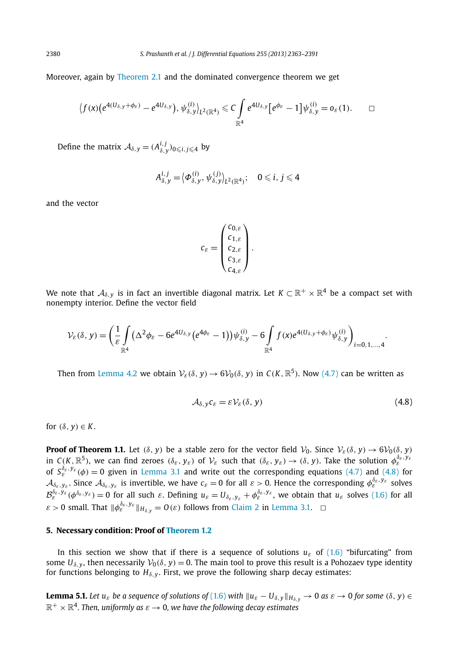Moreover, again by Theorem 2.1 and the dominated convergence theorem we get

$$
\langle f(x)(e^{4(U_{\delta,y}+\phi_{\varepsilon})}-e^{4U_{\delta,y}}),\psi_{\delta,y}^{(i)}\rangle_{L^2(\mathbb{R}^4)}\leqslant C\int\limits_{\mathbb{R}^4}e^{4U_{\delta,y}}[e^{\phi_{\varepsilon}}-1]\psi_{\delta,y}^{(i)}=o_{\varepsilon}(1).\hspace{3ex} \Box
$$

Define the matrix  $\mathcal{A}_{\delta, y} = (A^{i,j}_{\delta, y})_{0 \leqslant i, j \leqslant 4}$  by

$$
A_{\delta,y}^{i,j} = \langle \Phi_{\delta,y}^{(i)}, \psi_{\delta,y}^{(j)} \rangle_{L^2(\mathbb{R}^4)}; \quad 0 \leq i, j \leq 4
$$

and the vector

$$
c_{\varepsilon} = \begin{pmatrix} c_{0,\varepsilon} \\ c_{1,\varepsilon} \\ c_{2,\varepsilon} \\ c_{3,\varepsilon} \\ c_{4,\varepsilon} \end{pmatrix}.
$$

We note that  $\mathcal{A}_{\delta,y}$  is in fact an invertible diagonal matrix. Let  $K\subset\mathbb{R}^+\times\mathbb{R}^4$  be a compact set with nonempty interior. Define the vector field

$$
\mathcal{V}_{\varepsilon}(\delta, y) = \left(\frac{1}{\varepsilon} \int\limits_{\mathbb{R}^4} (\Delta^2 \phi_{\varepsilon} - 6e^{4U_{\delta, y}} (e^{4\phi_{\varepsilon}} - 1)) \psi_{\delta, y}^{(i)} - 6 \int\limits_{\mathbb{R}^4} f(x) e^{4(U_{\delta, y} + \phi_{\varepsilon})} \psi_{\delta, y}^{(i)}\right)_{i=0, 1, ..., 4}.
$$

Then from Lemma 4.2 we obtain  $\mathcal{V}_{\varepsilon}(\delta, y) \to 6\mathcal{V}_0(\delta, y)$  in  $C(K, \mathbb{R}^5)$ . Now (4.7) can be written as

$$
A_{\delta, y} c_{\varepsilon} = \varepsilon \mathcal{V}_{\varepsilon}(\delta, y) \tag{4.8}
$$

for  $(\delta, v) \in K$ .

**Proof of Theorem 1.1.** Let ( $\delta$ , *y*) be a stable zero for the vector field  $V_0$ . Since  $V_{\varepsilon}(\delta, y) \to 6V_0(\delta, y)$ in  $C(K,\mathbb{R}^5)$ , we can find zeroes  $(\delta_{\varepsilon},y_{\varepsilon})$  of  $\mathcal{V}_{\varepsilon}$  such that  $(\delta_{\varepsilon},y_{\varepsilon})\to (\delta,y)$ . Take the solution  $\phi_{\varepsilon}^{\delta_{\varepsilon},y_{\varepsilon}}$ of  $S_{\varepsilon}^{\delta_{\varepsilon},y_{\varepsilon}}(\phi)=0$  given in Lemma 3.1 and write out the corresponding equations (4.7) and (4.8) for  $\mathcal{A}_{\delta_{\varepsilon},y_{\varepsilon}}.$  Since  $\mathcal{A}_{\delta_{\varepsilon},y_{\varepsilon}}$  is invertible, we have  $c_{\varepsilon}=0$  for all  $\varepsilon>0.$  Hence the corresponding  $\phi_{\varepsilon}^{\delta_{\varepsilon},y_{\varepsilon}}$  solves  $\mathcal{B}_{\varepsilon}^{\delta_{\varepsilon},y_{\varepsilon}}(\phi^{\delta_{\varepsilon},y_{\varepsilon}})=0$  for all such  $\varepsilon$ . Defining  $u_{\varepsilon}=U_{\delta_{\varepsilon},y_{\varepsilon}}+\phi_{\varepsilon}^{\delta_{\varepsilon},y_{\varepsilon}}$ , we obtain that  $u_{\varepsilon}$  solves (1.6) for all  $\varepsilon > 0$  small. That  $\|\phi_{\varepsilon}^{\delta_{\varepsilon},y_{\varepsilon}}\|_{H_{\delta,y}} = O(\varepsilon)$  follows from Claim 2 in Lemma 3.1.  $\;\;\Box$ 

### **5. Necessary condition: Proof of Theorem 1.2**

In this section we show that if there is a sequence of solutions  $u_{\varepsilon}$  of (1.6) "bifurcating" from some  $U_{\delta, y}$ , then necessarily  $V_0(\delta, y) = 0$ . The main tool to prove this result is a Pohozaev type identity for functions belonging to  $H_{\delta, y}$ . First, we prove the following sharp decay estimates:

**Lemma 5.1.** Let  $u_{\varepsilon}$  be a sequence of solutions of (1.6) with  $||u_{\varepsilon} - U_{\delta,y}||_{H_{\delta,y}} \to 0$  as  $\varepsilon \to 0$  for some  $(\delta, y) \in$  $\mathbb{R}^+ \times \mathbb{R}^4$ . Then, uniformly as  $\varepsilon \to 0$ , we have the following decay estimates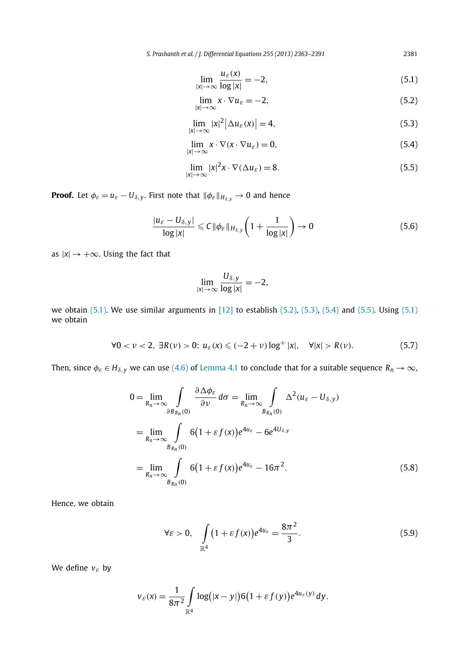*S. Prashanth et al. / J. Differential Equations 255 (2013) 2363–2391* 2381

$$
\lim_{|x| \to \infty} \frac{u_{\varepsilon}(x)}{\log |x|} = -2,\tag{5.1}
$$

$$
\lim_{|x| \to \infty} x \cdot \nabla u_{\varepsilon} = -2,\tag{5.2}
$$

$$
\lim_{|x| \to \infty} |x|^2 |\Delta u_{\varepsilon}(x)| = 4,
$$
\n(5.3)

$$
\lim_{|x| \to \infty} x \cdot \nabla(x \cdot \nabla u_{\varepsilon}) = 0,\tag{5.4}
$$

$$
\lim_{|x| \to \infty} |x|^2 x \cdot \nabla(\Delta u_{\varepsilon}) = 8. \tag{5.5}
$$

**Proof.** Let  $\phi_{\varepsilon} = u_{\varepsilon} - U_{\delta,y}$ . First note that  $\|\phi_{\varepsilon}\|_{H_{\delta,y}} \to 0$  and hence

$$
\frac{|u_{\varepsilon} - U_{\delta, y}|}{\log |x|} \leqslant C \|\phi_{\varepsilon}\|_{H_{\delta, y}} \left(1 + \frac{1}{\log |x|}\right) \to 0 \tag{5.6}
$$

as  $|x| \rightarrow +\infty$ . Using the fact that

$$
\lim_{|x|\to\infty}\frac{U_{\delta,y}}{\log|x|}=-2,
$$

we obtain  $(5.1)$ . We use similar arguments in  $[12]$  to establish  $(5.2)$ ,  $(5.3)$ ,  $(5.4)$  and  $(5.5)$ . Using  $(5.1)$ we obtain

$$
\forall 0 < \nu < 2, \ \exists R(\nu) > 0; \ u_{\varepsilon}(x) \leqslant (-2+\nu) \log^+|x|, \quad \forall |x| > R(\nu). \tag{5.7}
$$

Then, since  $\phi_{\varepsilon} \in H_{\delta, y}$  we can use (4.6) of Lemma 4.1 to conclude that for a suitable sequence  $R_n \to \infty$ ,

$$
0 = \lim_{R_n \to \infty} \int_{\partial B_{R_n}(0)} \frac{\partial \Delta \phi_{\varepsilon}}{\partial \nu} d\sigma = \lim_{R_n \to \infty} \int_{B_{R_n}(0)} \Delta^2 (u_{\varepsilon} - U_{\delta, y})
$$
  
= 
$$
\lim_{R_n \to \infty} \int_{B_{R_n}(0)} 6(1 + \varepsilon f(x)) e^{4u_{\varepsilon}} - 6e^{4U_{\delta, y}}
$$
  
= 
$$
\lim_{R_n \to \infty} \int_{B_{R_n}(0)} 6(1 + \varepsilon f(x)) e^{4u_{\varepsilon}} - 16\pi^2.
$$
 (5.8)

Hence, we obtain

$$
\forall \varepsilon > 0, \quad \int_{\mathbb{R}^4} (1 + \varepsilon f(x)) e^{4u_{\varepsilon}} = \frac{8\pi^2}{3}.
$$

We define *v*ε by

$$
v_{\varepsilon}(x) = \frac{1}{8\pi^2} \int\limits_{\mathbb{R}^4} \log(|x-y|) 6(1+\varepsilon f(y)) e^{4u_{\varepsilon}(y)} dy.
$$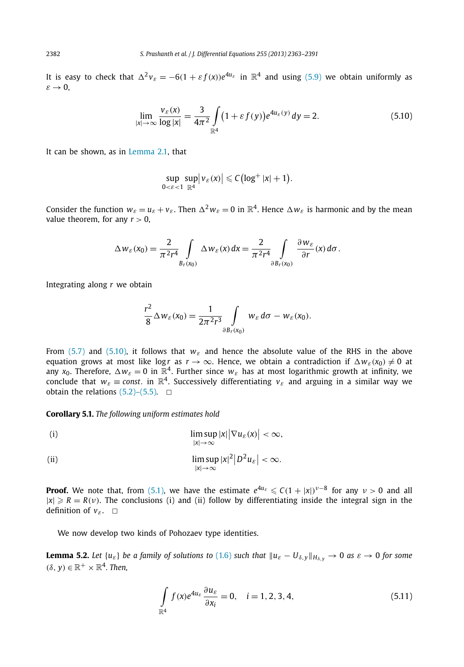It is easy to check that  $\Delta^2 v_\varepsilon = -6(1 + \varepsilon f(x))e^{4u_\varepsilon}$  in  $\mathbb{R}^4$  and using (5.9) we obtain uniformly as  $\varepsilon \to 0$ ,

$$
\lim_{|x| \to \infty} \frac{v_{\varepsilon}(x)}{\log |x|} = \frac{3}{4\pi^2} \int_{\mathbb{R}^4} (1 + \varepsilon f(y)) e^{4u_{\varepsilon}(y)} dy = 2.
$$
\n(5.10)

It can be shown, as in Lemma 2.1, that

$$
\sup_{0<\varepsilon<1}\sup_{\mathbb{R}^4}|v_{\varepsilon}(x)|\leqslant C\big(\log^+|x|+1\big).
$$

Consider the function  $w_{\varepsilon} = u_{\varepsilon} + v_{\varepsilon}$ . Then  $\Delta^2 w_{\varepsilon} = 0$  in  $\mathbb{R}^4$ . Hence  $\Delta w_{\varepsilon}$  is harmonic and by the mean value theorem, for any  $r > 0$ ,

$$
\Delta w_{\varepsilon}(x_0) = \frac{2}{\pi^2 r^4} \int\limits_{B_r(x_0)} \Delta w_{\varepsilon}(x) dx = \frac{2}{\pi^2 r^4} \int\limits_{\partial B_r(x_0)} \frac{\partial w_{\varepsilon}}{\partial r}(x) d\sigma.
$$

Integrating along *r* we obtain

$$
\frac{r^2}{8}\Delta w_{\varepsilon}(x_0)=\frac{1}{2\pi^2r^3}\int\limits_{\partial B_r(x_0)}w_{\varepsilon} d\sigma-w_{\varepsilon}(x_0).
$$

From (5.7) and (5.10), it follows that  $w_{\varepsilon}$  and hence the absolute value of the RHS in the above equation grows at most like logr as  $r \to \infty$ . Hence, we obtain a contradiction if  $\Delta w_{\varepsilon}(x_0) \neq 0$  at any  $x_0$ . Therefore,  $\Delta w_{\varepsilon}=0$  in  $\mathbb{R}^4$ . Further since  $w_{\varepsilon}$  has at most logarithmic growth at infinity, we conclude that  $w_{\varepsilon} \equiv const.$  in  $\mathbb{R}^4$ . Successively differentiating  $v_{\varepsilon}$  and arguing in a similar way we obtain the relations  $(5.2)$ – $(5.5)$ .  $\Box$ 

**Corollary 5.1.** *The following uniform estimates hold*

(i) 
$$
\limsup_{|x| \to \infty} |x| |\nabla u_{\varepsilon}(x)| < \infty,
$$

(ii) 
$$
\limsup_{|x| \to \infty} |x|^2 |D^2 u_{\varepsilon}| < \infty.
$$

**Proof.** We note that, from (5.1), we have the estimate  $e^{4u_{\varepsilon}} \leq C(1 + |x|)^{\nu-8}$  for any  $\nu > 0$  and all  $|x| \ge R = R(v)$ . The conclusions (i) and (ii) follow by differentiating inside the integral sign in the definition of  $v_{\varepsilon}$ .  $\Box$ 

We now develop two kinds of Pohozaev type identities.

**Lemma 5.2.** Let  $\{u_{\varepsilon}\}\$  be a family of solutions to (1.6) such that  $\|u_{\varepsilon} - U_{\delta,\gamma}\|_{H_{\delta,\gamma}} \to 0$  as  $\varepsilon \to 0$  for some  $(\delta, y) \in \mathbb{R}^+ \times \mathbb{R}^4$ . Then,

$$
\int_{\mathbb{R}^4} f(x)e^{4u_{\varepsilon}} \frac{\partial u_{\varepsilon}}{\partial x_i} = 0, \quad i = 1, 2, 3, 4,
$$
\n(5.11)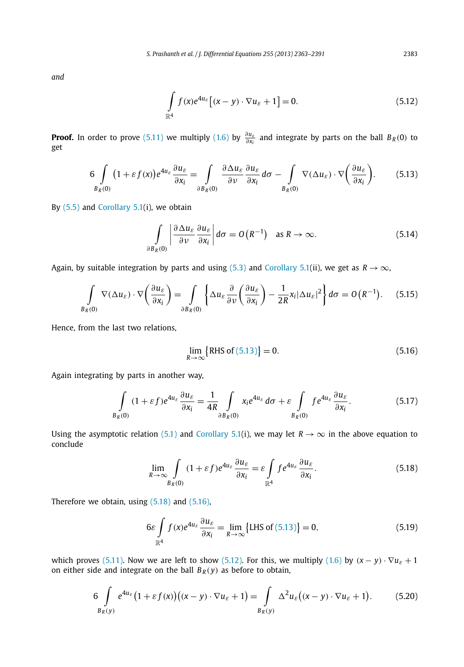*and*

$$
\int_{\mathbb{R}^4} f(x)e^{4u_{\varepsilon}} \left[ (x - y) \cdot \nabla u_{\varepsilon} + 1 \right] = 0.
$$
\n(5.12)

**Proof.** In order to prove (5.11) we multiply (1.6) by  $\frac{\partial u_{\varepsilon}}{\partial x_i}$  and integrate by parts on the ball  $B_R(0)$  to get

$$
6\int\limits_{B_R(0)}(1+\varepsilon f(x))e^{4u_{\varepsilon}}\frac{\partial u_{\varepsilon}}{\partial x_i}=\int\limits_{\partial B_R(0)}\frac{\partial \Delta u_{\varepsilon}}{\partial \nu}\frac{\partial u_{\varepsilon}}{\partial x_i}d\sigma-\int\limits_{B_R(0)}\nabla(\Delta u_{\varepsilon})\cdot\nabla\left(\frac{\partial u_{\varepsilon}}{\partial x_i}\right).
$$
(5.13)

By  $(5.5)$  and Corollary 5.1(i), we obtain

$$
\int_{\partial B_R(0)} \left| \frac{\partial \Delta u_{\varepsilon}}{\partial \nu} \frac{\partial u_{\varepsilon}}{\partial x_i} \right| d\sigma = O\left( R^{-1} \right) \quad \text{as } R \to \infty. \tag{5.14}
$$

Again, by suitable integration by parts and using (5.3) and Corollary 5.1(ii), we get as  $R \to \infty$ ,

$$
\int\limits_{B_R(0)} \nabla(\Delta u_{\varepsilon}) \cdot \nabla \left(\frac{\partial u_{\varepsilon}}{\partial x_i}\right) = \int\limits_{\partial B_R(0)} \left\{ \Delta u_{\varepsilon} \frac{\partial}{\partial \nu} \left(\frac{\partial u_{\varepsilon}}{\partial x_i}\right) - \frac{1}{2R} x_i |\Delta u_{\varepsilon}|^2 \right\} d\sigma = O\left(R^{-1}\right). \tag{5.15}
$$

Hence, from the last two relations,

$$
\lim_{R \to \infty} \{ \text{RHS of (5.13)} \} = 0. \tag{5.16}
$$

Again integrating by parts in another way,

$$
\int_{B_R(0)} (1+\varepsilon f)e^{4u_\varepsilon} \frac{\partial u_\varepsilon}{\partial x_i} = \frac{1}{4R} \int_{\partial B_R(0)} x_i e^{4u_\varepsilon} d\sigma + \varepsilon \int_{B_R(0)} f e^{4u_\varepsilon} \frac{\partial u_\varepsilon}{\partial x_i}.
$$
 (5.17)

Using the asymptotic relation (5.1) and Corollary 5.1(i), we may let  $R \to \infty$  in the above equation to conclude

$$
\lim_{R \to \infty} \int\limits_{B_R(0)} (1 + \varepsilon f) e^{4u_\varepsilon} \frac{\partial u_\varepsilon}{\partial x_i} = \varepsilon \int\limits_{\mathbb{R}^4} f e^{4u_\varepsilon} \frac{\partial u_\varepsilon}{\partial x_i}.
$$
\n(5.18)

Therefore we obtain, using (5.18) and (5.16),

$$
6\varepsilon \int_{\mathbb{R}^4} f(x)e^{4u_\varepsilon} \frac{\partial u_\varepsilon}{\partial x_i} = \lim_{R \to \infty} \{LHS \text{ of (5.13)}\} = 0,
$$
 (5.19)

which proves (5.11). Now we are left to show (5.12). For this, we multiply (1.6) by  $(x - y) \cdot \nabla u_{\varepsilon} + 1$ on either side and integrate on the ball  $B_R(y)$  as before to obtain,

$$
6\int\limits_{B_R(y)}e^{4u_{\varepsilon}}\big(1+\varepsilon f(x)\big)\big((x-y)\cdot\nabla u_{\varepsilon}+1\big)=\int\limits_{B_R(y)}\Delta^2 u_{\varepsilon}\big((x-y)\cdot\nabla u_{\varepsilon}+1\big). \hspace{1cm} (5.20)
$$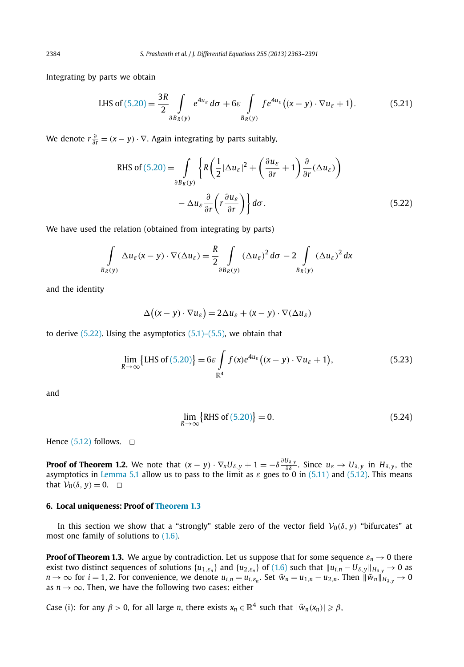Integrating by parts we obtain

LHS of 
$$
(5.20) = \frac{3R}{2} \int_{\partial B_R(y)} e^{4u_\varepsilon} d\sigma + 6\varepsilon \int_{B_R(y)} f e^{4u_\varepsilon} ((x - y) \cdot \nabla u_\varepsilon + 1).
$$
 (5.21)

We denote  $r \frac{\partial}{\partial r} = (x - y) \cdot \nabla$ . Again integrating by parts suitably,

RHS of (5.20) = 
$$
\int_{\partial B_R(y)} \left\{ R \left( \frac{1}{2} |\Delta u_{\varepsilon}|^2 + \left( \frac{\partial u_{\varepsilon}}{\partial r} + 1 \right) \frac{\partial}{\partial r} (\Delta u_{\varepsilon}) \right) - \Delta u_{\varepsilon} \frac{\partial}{\partial r} \left( r \frac{\partial u_{\varepsilon}}{\partial r} \right) \right\} d\sigma.
$$
 (5.22)

We have used the relation (obtained from integrating by parts)

$$
\int\limits_{B_R(y)} \Delta u_{\varepsilon}(x-y) \cdot \nabla(\Delta u_{\varepsilon}) = \frac{R}{2} \int\limits_{\partial B_R(y)} (\Delta u_{\varepsilon})^2 d\sigma - 2 \int\limits_{B_R(y)} (\Delta u_{\varepsilon})^2 dx
$$

and the identity

$$
\Delta((x - y) \cdot \nabla u_{\varepsilon}) = 2\Delta u_{\varepsilon} + (x - y) \cdot \nabla(\Delta u_{\varepsilon})
$$

to derive  $(5.22)$ . Using the asymptotics  $(5.1)$ – $(5.5)$ , we obtain that

$$
\lim_{R \to \infty} \{ \text{LHS of (5.20)} \} = 6\varepsilon \int_{\mathbb{R}^4} f(x) e^{4u_{\varepsilon}} \big( (x - y) \cdot \nabla u_{\varepsilon} + 1 \big), \tag{5.23}
$$

and

$$
\lim_{R \to \infty} \{ \text{RHS of (5.20)} \} = 0. \tag{5.24}
$$

Hence  $(5.12)$  follows.  $\Box$ 

**Proof of Theorem 1.2.** We note that  $(x - y) \cdot \nabla_x U_{\delta, y} + 1 = -\delta \frac{\partial U_{\delta, y}}{\partial \delta}$ . Since  $u_{\varepsilon} \to U_{\delta, y}$  in  $H_{\delta, y}$ , the asymptotics in Lemma 5.1 allow us to pass to the limit as  $\varepsilon$  goes to 0 in (5.11) and (5.12). This means that  $V_0(\delta, \gamma) = 0$ .  $\Box$ 

#### **6. Local uniqueness: Proof of Theorem 1.3**

In this section we show that a "strongly" stable zero of the vector field  $V_0(\delta, y)$  "bifurcates" at most one family of solutions to (1.6).

**Proof of Theorem 1.3.** We argue by contradiction. Let us suppose that for some sequence  $\varepsilon_n \to 0$  there exist two distinct sequences of solutions  $\{u_{1,E_n}\}$  and  $\{u_{2,E_n}\}$  of  $(1.6)$  such that  $\|u_{i,n}-U_{\delta,y}\|_{H_{\delta,y}}\to 0$  as  $n \to \infty$  for  $i = 1, 2$ . For convenience, we denote  $u_{i,n} = u_{i,\varepsilon_n}$ . Set  $\tilde{w}_n = u_{1,n} - u_{2,n}$ . Then  $\|\tilde{w}_n\|_{H_{\delta,y}} \to 0$ as  $n \rightarrow \infty$ . Then, we have the following two cases: either

Case (i): for any  $\beta > 0$ , for all large *n*, there exists  $x_n \in \mathbb{R}^4$  such that  $|\tilde{w}_n(x_n)| \geqslant \beta$ ,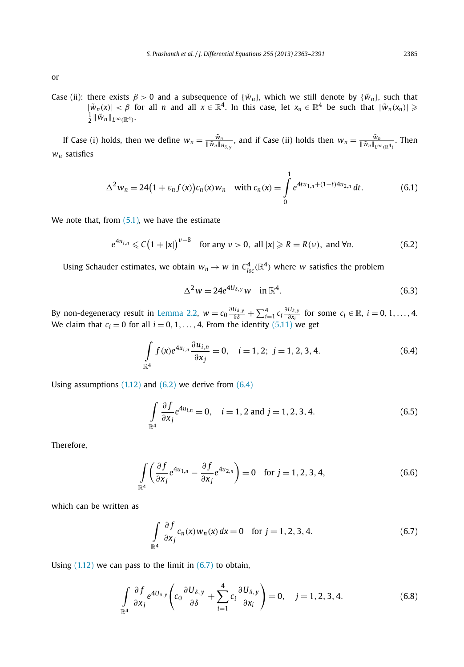or

Case (ii): there exists  $\beta > 0$  and a subsequence of { $\tilde{w}_n$ }, which we still denote by { $\tilde{w}_n$ }, such that  $|\tilde{w}_n(x)| < \beta$  for all *n* and all  $x \in \mathbb{R}^4$ . In this case, let  $x_n \in \mathbb{R}^4$  be such that  $|\tilde{w}_n(x_n)| \geqslant$  $\frac{1}{2}$   $\|\tilde{w}_n\|_{L^{\infty}(\mathbb{R}^4)}$ .

If Case (i) holds, then we define  $w_n = \frac{\tilde{w}_n}{\|\tilde{w}_n\|_{H_{\delta,y}}}$ , and if Case (ii) holds then  $w_n = \frac{\tilde{w}_n}{\|\tilde{w}_n\|_{L^{\infty}(\mathbb{R}^4)}}$ . Then *w<sup>n</sup>* satisfies

$$
\Delta^2 w_n = 24(1 + \varepsilon_n f(x))c_n(x)w_n \quad \text{with } c_n(x) = \int_0^1 e^{4tu_{1,n} + (1-t)4u_{2,n}} dt. \tag{6.1}
$$

We note that, from  $(5.1)$ , we have the estimate

$$
e^{4u_{i,n}} \leqslant C\big(1+|x|\big)^{\nu-8} \quad \text{for any } \nu > 0, \text{ all } |x| \geqslant R = R(\nu), \text{ and } \forall n. \tag{6.2}
$$

Using Schauder estimates, we obtain  $w_n \to w$  in  $C^4_{loc}(\mathbb{R}^4)$  where *w* satisfies the problem

$$
\Delta^2 w = 24e^{4U_{\delta,y}}w \quad \text{in } \mathbb{R}^4. \tag{6.3}
$$

By non-degeneracy result in Lemma 2.2,  $w = c_0 \frac{\partial U_{\delta,y}}{\partial \delta} + \sum_{i=1}^4 c_i \frac{\partial U_{\delta,y}}{\partial x_i}$  for some  $c_i \in \mathbb{R}$ ,  $i = 0, 1, ..., 4$ . We claim that  $c_i = 0$  for all  $i = 0, 1, \ldots, 4$ . From the identity  $(5.11)$  we get

$$
\int_{\mathbb{R}^4} f(x)e^{4u_{i,n}} \frac{\partial u_{i,n}}{\partial x_j} = 0, \quad i = 1, 2; \ j = 1, 2, 3, 4.
$$
\n(6.4)

Using assumptions  $(1.12)$  and  $(6.2)$  we derive from  $(6.4)$ 

$$
\int_{\mathbb{R}^4} \frac{\partial f}{\partial x_j} e^{4u_{i,n}} = 0, \quad i = 1, 2 \text{ and } j = 1, 2, 3, 4.
$$
 (6.5)

Therefore,

$$
\int_{\mathbb{R}^4} \left( \frac{\partial f}{\partial x_j} e^{4u_{1,n}} - \frac{\partial f}{\partial x_j} e^{4u_{2,n}} \right) = 0 \quad \text{for } j = 1, 2, 3, 4,
$$
\n(6.6)

which can be written as

$$
\int_{\mathbb{R}^4} \frac{\partial f}{\partial x_j} c_n(x) w_n(x) dx = 0 \quad \text{for } j = 1, 2, 3, 4.
$$
 (6.7)

Using  $(1.12)$  we can pass to the limit in  $(6.7)$  to obtain,

$$
\int_{\mathbb{R}^4} \frac{\partial f}{\partial x_j} e^{4U_{\delta,y}} \left( c_0 \frac{\partial U_{\delta,y}}{\partial \delta} + \sum_{i=1}^4 c_i \frac{\partial U_{\delta,y}}{\partial x_i} \right) = 0, \quad j = 1, 2, 3, 4.
$$
\n(6.8)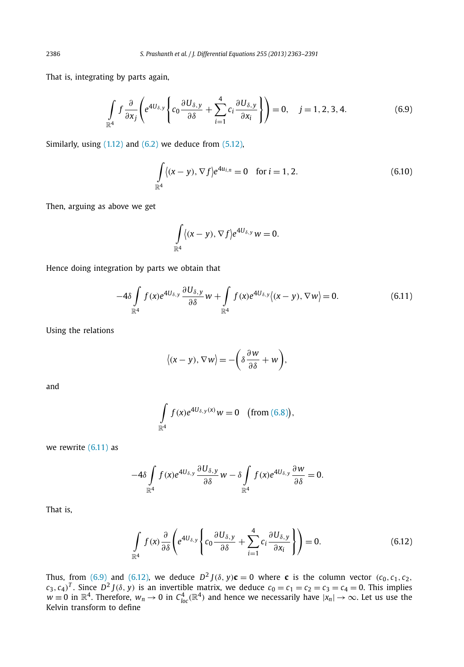That is, integrating by parts again,

$$
\int_{\mathbb{R}^4} f \frac{\partial}{\partial x_j} \left( e^{4U_{\delta,y}} \left\{ c_0 \frac{\partial U_{\delta,y}}{\partial \delta} + \sum_{i=1}^4 c_i \frac{\partial U_{\delta,y}}{\partial x_i} \right\} \right) = 0, \quad j = 1, 2, 3, 4.
$$
\n(6.9)

Similarly, using  $(1.12)$  and  $(6.2)$  we deduce from  $(5.12)$ ,

$$
\int_{\mathbb{R}^4} \langle (x - y), \nabla f \rangle e^{4u_{i,n}} = 0 \quad \text{for } i = 1, 2.
$$
 (6.10)

Then, arguing as above we get

$$
\int\limits_{\mathbb{R}^4} \langle (x-y), \nabla f \rangle e^{4U_{\delta,y}} w = 0.
$$

Hence doing integration by parts we obtain that

$$
-4\delta \int_{\mathbb{R}^4} f(x)e^{4U_{\delta,y}} \frac{\partial U_{\delta,y}}{\partial \delta} w + \int_{\mathbb{R}^4} f(x)e^{4U_{\delta,y}} \langle (x-y), \nabla w \rangle = 0.
$$
 (6.11)

Using the relations

$$
\langle (x-y), \nabla w \rangle = -\bigg(\delta \frac{\partial w}{\partial \delta} + w\bigg),\,
$$

and

$$
\int_{\mathbb{R}^4} f(x)e^{4U_{\delta,y}(x)}w = 0 \quad \text{(from (6.8))},
$$

we rewrite (6.11) as

$$
-4\delta \int\limits_{\mathbb{R}^4} f(x)e^{4U_{\delta,y}} \frac{\partial U_{\delta,y}}{\partial \delta} w - \delta \int\limits_{\mathbb{R}^4} f(x)e^{4U_{\delta,y}} \frac{\partial w}{\partial \delta} = 0.
$$

That is,

$$
\int_{\mathbb{R}^4} f(x) \frac{\partial}{\partial \delta} \left( e^{4U_{\delta,y}} \left\{ c_0 \frac{\partial U_{\delta,y}}{\partial \delta} + \sum_{i=1}^4 c_i \frac{\partial U_{\delta,y}}{\partial x_i} \right\} \right) = 0.
$$
\n(6.12)

Thus, from (6.9) and (6.12), we deduce  $D^2 J(\delta, y) \mathbf{c} = 0$  where **c** is the column vector ( $c_0, c_1, c_2$ ,  $c_3$ ,  $c_4$ )<sup>T</sup>. Since  $D^2 J(\delta, y)$  is an invertible matrix, we deduce  $c_0 = c_1 = c_2 = c_3 = c_4 = 0$ . This implies  $w \equiv 0$  in  $\mathbb{R}^4$ . Therefore,  $w_n \to 0$  in  $C^4_{loc}(\mathbb{R}^4)$  and hence we necessarily have  $|x_n| \to \infty$ . Let us use the Kelvin transform to define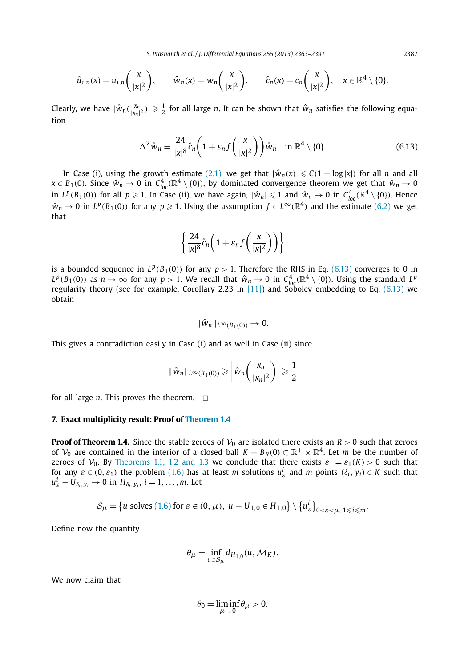$$
\hat{u}_{i,n}(x) = u_{i,n}\left(\frac{x}{|x|^2}\right), \qquad \hat{w}_n(x) = w_n\left(\frac{x}{|x|^2}\right), \qquad \hat{c}_n(x) = c_n\left(\frac{x}{|x|^2}\right), \quad x \in \mathbb{R}^4 \setminus \{0\}.
$$

Clearly, we have  $|\hat{w}_n(\frac{x_n}{|x_n|^2})| \geq \frac{1}{2}$  for all large *n*. It can be shown that  $\hat{w}_n$  satisfies the following equation

$$
\Delta^2 \hat{w}_n = \frac{24}{|x|^8} \hat{c}_n \left( 1 + \varepsilon_n f\left(\frac{x}{|x|^2}\right) \right) \hat{w}_n \quad \text{in } \mathbb{R}^4 \setminus \{0\}. \tag{6.13}
$$

In Case (i), using the growth estimate (2.1), we get that  $|\hat{w}_n(x)| \leq C(1 - \log|x|)$  for all *n* and all  $x \in B_1(0)$ . Since  $\hat{w}_n \to 0$  in  $C^4_{loc}(\mathbb{R}^4 \setminus \{0\})$ , by dominated convergence theorem we get that  $\hat{w}_n \to 0$ in  $L^p(B_1(0))$  for all  $p \ge 1$ . In Case (ii), we have again,  $|\hat{w}_n| \le 1$  and  $\hat{w}_n \to 0$  in  $C^4_{loc}(\mathbb{R}^4 \setminus \{0\})$ . Hence  $\hat{w}_n \to 0$  in  $L^p(B_1(0))$  for any  $p \geq 1$ . Using the assumption  $f \in L^\infty(\mathbb{R}^4)$  and the estimate (6.2) we get that

$$
\left\{\frac{24}{|x|^8}\hat{c}_n\bigg(1+\varepsilon_nf\bigg(\frac{x}{|x|^2}\bigg)\bigg)\right\}
$$

is a bounded sequence in  $L^p(B_1(0))$  for any  $p > 1$ . Therefore the RHS in Eq. (6.13) converges to 0 in  $L^p(B_1(0))$  as  $n \to \infty$  for any  $p > 1$ . We recall that  $\hat{w}_n \to 0$  in  $C^4_{loc}(\mathbb{R}^4 \setminus \{0\})$ . Using the standard  $L^p$ regularity theory (see for example, Corollary 2.23 in [11]) and Sobolev embedding to Eq. (6.13) we obtain

$$
\|\hat{w}_n\|_{L^{\infty}(B_1(0))}\to 0.
$$

This gives a contradiction easily in Case (i) and as well in Case (ii) since

$$
\|\hat{w}_n\|_{L^{\infty}(B_1(0))} \geq \left|\hat{w}_n\left(\frac{x_n}{|x_n|^2}\right)\right| \geq \frac{1}{2}
$$

for all large *n*. This proves the theorem.  $\Box$ 

# **7. Exact multiplicity result: Proof of Theorem 1.4**

**Proof of Theorem 1.4.** Since the stable zeroes of  $V_0$  are isolated there exists an  $R > 0$  such that zeroes of  $\mathcal{V}_0$  are contained in the interior of a closed ball  $K = \overline{B}_R(0) \subset \mathbb{R}^+ \times \mathbb{R}^4$ . Let  $m$  be the number of zeroes of  $V_0$ . By Theorems 1.1, 1.2 and 1.3 we conclude that there exists  $\varepsilon_1 = \varepsilon_1(K) > 0$  such that for any  $\varepsilon \in (0, \varepsilon_1)$  the problem  $(1.6)$  has at least *m* solutions  $u_{\varepsilon}^i$  and *m* points  $(\delta_i, y_i) \in K$  such that  $u_{\varepsilon}^i - U_{\delta_i, y_i} \to 0$  in  $H_{\delta_i, y_i}$ ,  $i = 1, \ldots, m$ . Let

$$
\mathcal{S}_{\mu} = \left\{ u \text{ solves (1.6) for } \varepsilon \in (0, \mu), \ u - U_{1,0} \in H_{1,0} \right\} \setminus \left\{ u_{\varepsilon}^{i} \right\}_{0 < \varepsilon < \mu, \ 1 \leq i \leq m}.
$$

Define now the quantity

$$
\theta_{\mu} = \inf_{u \in S_{\mu}} d_{H_{1,0}}(u, \mathcal{M}_K).
$$

We now claim that

$$
\theta_0 = \liminf_{\mu \to 0} \theta_\mu > 0.
$$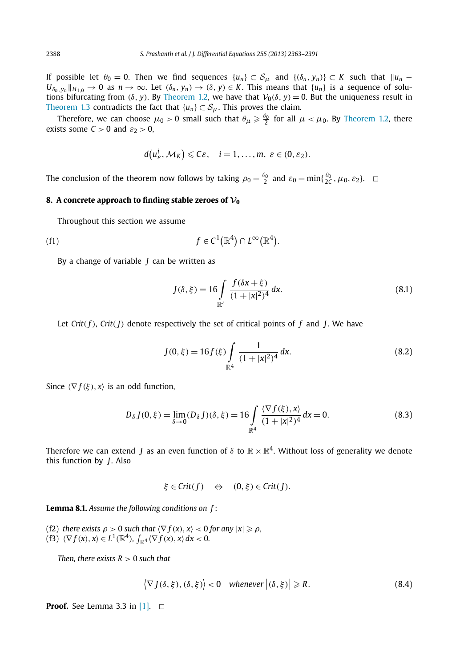If possible let  $\theta_0 = 0$ . Then we find sequences  $\{u_n\} \subset S_\mu$  and  $\{(\delta_n, y_n)\} \subset K$  such that  $\|u_n U_{\delta_n, y_n} \|_{H_{1,0}} \to 0$  as  $n \to \infty$ . Let  $(\delta_n, y_n) \to (\delta, y) \in K$ . This means that  $\{u_n\}$  is a sequence of solutions bifurcating from ( $\delta$ ,  $y$ ). By Theorem 1.2, we have that  $V_0(\delta, y) = 0$ . But the uniqueness result in Theorem 1.3 contradicts the fact that  $\{u_n\} \subset S_\mu$ . This proves the claim.

Therefore, we can choose  $\mu_0 > 0$  small such that  $\theta_\mu \geq \frac{\theta_0}{2}$  for all  $\mu < \mu_0$ . By Theorem 1.2, there exists some  $C > 0$  and  $\varepsilon_2 > 0$ ,

$$
d(u_{\varepsilon}^i, \mathcal{M}_K) \leqslant C\varepsilon, \quad i = 1, \ldots, m, \ \varepsilon \in (0, \varepsilon_2).
$$

The conclusion of the theorem now follows by taking  $\rho_0 = \frac{\theta_0}{2}$  and  $\varepsilon_0 = \min{\{\frac{\theta_0}{2C}, \mu_0, \varepsilon_2\}}$ .

# **8.** A concrete approach to finding stable zeroes of  $V_0$

Throughout this section we assume

(f1) 
$$
f \in C^1(\mathbb{R}^4) \cap L^\infty(\mathbb{R}^4).
$$

By a change of variable *J* can be written as

$$
J(\delta, \xi) = 16 \int_{\mathbb{R}^4} \frac{f(\delta x + \xi)}{(1 + |x|^2)^4} dx.
$$
 (8.1)

Let  $Crit(f)$ ,  $Crit(f)$  denote respectively the set of critical points of  $f$  and  $f$ . We have

$$
J(0,\xi) = 16f(\xi) \int_{\mathbb{R}^4} \frac{1}{(1+|x|^2)^4} dx.
$$
 (8.2)

Since  $\langle \nabla f(\xi), x \rangle$  is an odd function,

$$
D_{\delta} J(0,\xi) = \lim_{\delta \to 0} (D_{\delta} J)(\delta, \xi) = 16 \int_{\mathbb{R}^4} \frac{\langle \nabla f(\xi), x \rangle}{(1+|x|^2)^4} dx = 0.
$$
 (8.3)

Therefore we can extend  $J$  as an even function of  $\delta$  to  $\R\times \R^4.$  Without loss of generality we denote this function by *J*. Also

$$
\xi \in Crit(f) \Leftrightarrow (0,\xi) \in Crit(J).
$$

**Lemma 8.1.** *Assume the following conditions on f* :

(f2) *there exists*  $\rho > 0$  *such that*  $\langle \nabla f(x), x \rangle < 0$  for any  $|x| \geqslant \rho$ , (f3)  $\langle \nabla f(x), x \rangle \in L^1(\mathbb{R}^4)$ ,  $\int_{\mathbb{R}^4} \langle \nabla f(x), x \rangle dx < 0$ .

*Then, there exists*  $R > 0$  *such that* 

$$
\langle \nabla J(\delta, \xi), (\delta, \xi) \rangle < 0 \quad \text{whenever } \left| (\delta, \xi) \right| \ge R. \tag{8.4}
$$

**Proof.** See Lemma 3.3 in  $[1]$ .  $\Box$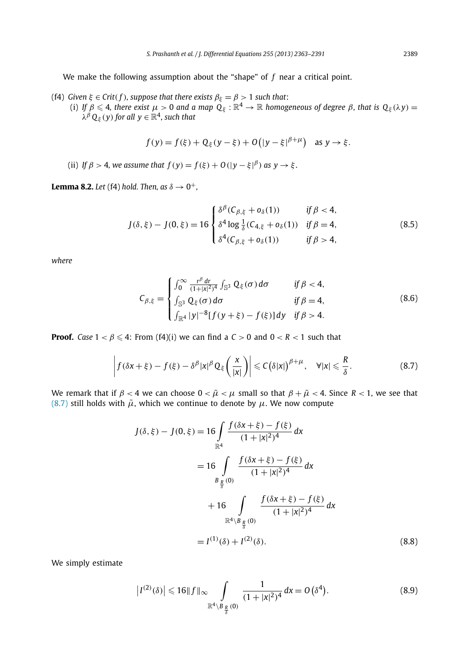We make the following assumption about the "shape" of *f* near a critical point.

- (f4)  $G$ iven  $\xi \in \text{Crit}(f)$ , suppose that there exists  $\beta_\xi = \beta > 1$  such that:
	- (i) If  $\beta\leqslant 4$ , there exist  $\mu>0$  and a map  $\hat{Q}_\xi:\R^4\to\R$  homogeneous of degree  $\beta$ , that is  $Q_\xi(\lambda y)=0$  $\lambda^{\beta}\mathsf{Q}_{\xi}(y)$  for all  $y\in\mathbb{R}^{4}$ , such that

$$
f(y) = f(\xi) + Q_{\xi}(y - \xi) + O(|y - \xi|^{\beta + \mu})
$$
 as  $y \to \xi$ .

(ii) *If*  $\beta > 4$ , we assume that  $f(y) = f(\xi) + O(|y - \xi|^{\beta})$  as  $y \to \xi$ .

**Lemma 8.2.** Let (f4) hold. Then, as  $\delta \rightarrow 0^+,$ 

$$
J(\delta, \xi) - J(0, \xi) = 16 \begin{cases} \delta^{\beta} (C_{\beta, \xi} + o_{\delta}(1)) & \text{if } \beta < 4, \\ \delta^4 \log \frac{1}{\delta} (C_{4, \xi} + o_{\delta}(1)) & \text{if } \beta = 4, \\ \delta^4 (C_{\beta, \xi} + o_{\delta}(1)) & \text{if } \beta > 4, \end{cases}
$$
 (8.5)

*where*

$$
C_{\beta,\xi} = \begin{cases} \int_0^\infty \frac{r^\beta dr}{(1+|x|^2)^4} \int_{\mathbb{S}^3} Q_\xi(\sigma) d\sigma & \text{if } \beta < 4, \\ \int_{\mathbb{S}^3} Q_\xi(\sigma) d\sigma & \text{if } \beta = 4, \\ \int_{\mathbb{R}^4} |y|^{-8} [f(y+\xi) - f(\xi)] dy & \text{if } \beta > 4. \end{cases}
$$
(8.6)

**Proof.** *Case*  $1 < \beta \leq 4$ : From (f4)(i) we can find a  $C > 0$  and  $0 < R < 1$  such that

$$
\left| f(\delta x + \xi) - f(\xi) - \delta^{\beta} |x|^{\beta} Q_{\xi} \left( \frac{x}{|x|} \right) \right| \leq C \left( \delta |x| \right)^{\beta + \mu}, \quad \forall |x| \leq \frac{R}{\delta}.
$$
 (8.7)

We remark that if  $\beta < 4$  we can choose  $0 < \tilde{\mu} < \mu$  small so that  $\beta + \tilde{\mu} < 4$ . Since  $R < 1$ , we see that (8.7) still holds with  $\tilde{\mu}$ , which we continue to denote by  $\mu$ . We now compute

$$
J(\delta, \xi) - J(0, \xi) = 16 \int_{\mathbb{R}^4} \frac{f(\delta x + \xi) - f(\xi)}{(1 + |x|^2)^4} dx
$$
  
=  $16 \int_{B_{\frac{R}{3}}(0)} \frac{f(\delta x + \xi) - f(\xi)}{(1 + |x|^2)^4} dx$   
+  $16 \int_{\mathbb{R}^4 \setminus B_{\frac{R}{3}}(0)} \frac{f(\delta x + \xi) - f(\xi)}{(1 + |x|^2)^4} dx$   
=  $I^{(1)}(\delta) + I^{(2)}(\delta)$ . (8.8)

We simply estimate

$$
\left|I^{(2)}(\delta)\right| \leqslant 16 \|f\|_{\infty} \int\limits_{\mathbb{R}^4 \setminus B_{\frac{R}{\delta}}(0)} \frac{1}{(1+|x|^2)^4} dx = O\left(\delta^4\right). \tag{8.9}
$$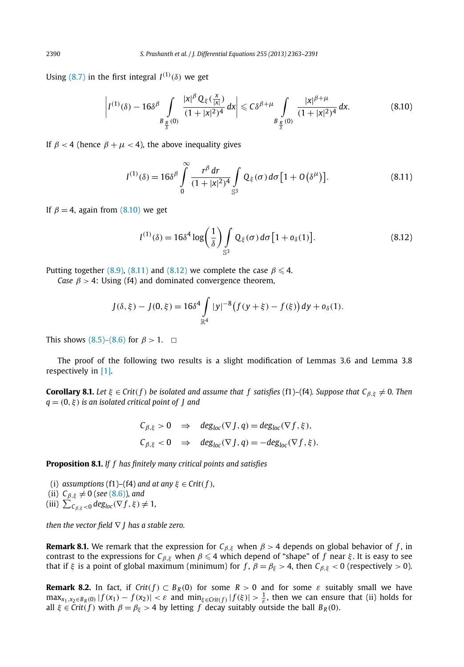Using  $(8.7)$  in the first integral  $I^{(1)}(\delta)$  we get

$$
\left| I^{(1)}(\delta) - 16\delta^{\beta} \int\limits_{B_{\frac{R}{\delta}}(0)} \frac{|x|^{\beta} Q_{\xi}(\frac{x}{|x|})}{(1+|x|^2)^4} dx \right| \leq C\delta^{\beta+\mu} \int\limits_{B_{\frac{R}{\delta}}(0)} \frac{|x|^{\beta+\mu}}{(1+|x|^2)^4} dx.
$$
 (8.10)

If  $\beta$  < 4 (hence  $\beta + \mu < 4$ ), the above inequality gives

$$
I^{(1)}(\delta) = 16\delta^{\beta} \int_{0}^{\infty} \frac{r^{\beta} dr}{(1+|x|^{2})^{4}} \int_{\mathbb{S}^{3}} Q_{\xi}(\sigma) d\sigma [1+O(\delta^{\mu})]. \tag{8.11}
$$

If  $\beta = 4$ , again from (8.10) we get

$$
I^{(1)}(\delta) = 16\delta^4 \log\left(\frac{1}{\delta}\right) \int_{\mathbb{S}^3} \mathbb{Q}_{\xi}(\sigma) d\sigma [1 + o_{\delta}(1)]. \tag{8.12}
$$

Putting together (8.9), (8.11) and (8.12) we complete the case  $\beta \le 4$ .

*Case*  $\beta$  > 4: Using (f4) and dominated convergence theorem,

$$
J(\delta,\xi) - J(0,\xi) = 16\delta^4 \int_{\mathbb{R}^4} |y|^{-8} (f(y+\xi) - f(\xi)) dy + o_\delta(1).
$$

This shows (8.5)–(8.6) for  $\beta > 1$ .  $\Box$ 

The proof of the following two results is a slight modification of Lemmas 3.6 and Lemma 3.8 respectively in [1].

**Corollary 8.1.** *Let*  $\xi \in \text{Crit}(f)$  *be isolated and assume that* f satisfies (f1)–(f4)*.* Suppose that  $C_{\beta,\xi} \neq 0$ *. Then q* = (0,ξ) *is an isolated critical point of J and*

$$
C_{\beta,\xi} > 0 \Rightarrow \deg_{loc}(\nabla J, q) = \deg_{loc}(\nabla f, \xi),
$$
  
\n $C_{\beta,\xi} < 0 \Rightarrow \deg_{loc}(\nabla J, q) = -\deg_{loc}(\nabla f, \xi).$ 

**Proposition 8.1.** *If f has finitely many critical points and satisfies*

(i) *assumptions* (f1)–(f4) *and at any*  $\xi \in Crit(f)$ *,* (ii)  $C_{\beta,\xi} \neq 0$  (*see* (8.6)), and (iii)  $\sum_{C_{\beta,\xi} < 0} deg_{loc}(\nabla f, \xi) \neq 1$ ,

*then the vector field* ∇ *J has a stable zero.*

**Remark 8.1.** We remark that the expression for  $C_{\beta, \xi}$  when  $\beta > 4$  depends on global behavior of *f*, in contrast to the expressions for  $C_{\beta,\xi}$  when  $\beta \leq 4$  which depend of "shape" of *f* near  $\xi$ . It is easy to see that if  $\xi$  is a point of global maximum (minimum) for  $f$ ,  $\beta = \beta_{\xi} > 4$ , then  $C_{\beta, \xi} < 0$  (respectively  $> 0$ ).

**Remark 8.2.** In fact, if  $Crit(f) \subset B_R(0)$  for some  $R > 0$  and for some  $\varepsilon$  suitably small we have  $\max_{x_1, x_2 \in B_R(0)} |f(x_1) - f(x_2)| < \varepsilon$  and  $\min_{\xi \in \text{Crit}(f)} |f(\xi)| > \frac{1}{\varepsilon}$ , then we can ensure that (ii) holds for all  $\xi \in Crit(f)$  with  $\beta = \beta_{\xi} > 4$  by letting *f* decay suitably outside the ball  $B_R(0)$ .